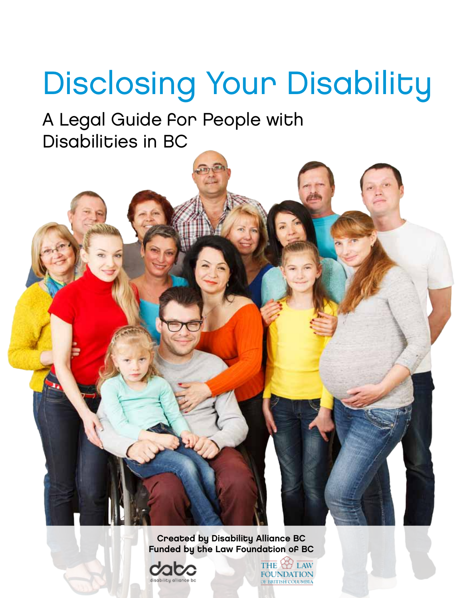# Disclosing Your Disability

A Legal Guide for People with Disabilities in BC

> Created by Disability Alliance BC Funded by the Law Foundation of BC



LAW THE **FOUNDATION** OF BRITISH COLUMBIA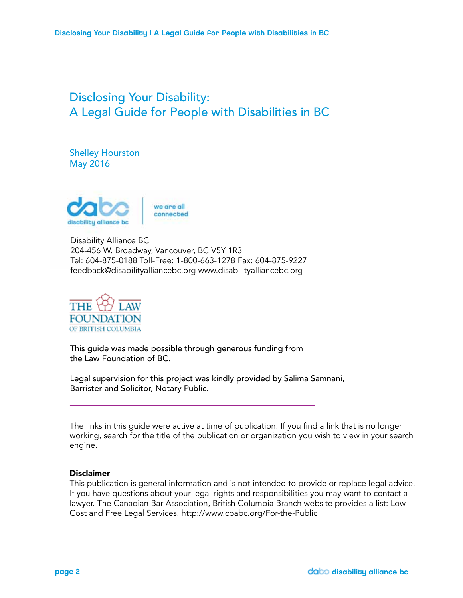### Disclosing Your Disability: A Legal Guide for People with Disabilities in BC

Shelley Hourston May 2016



Disability Alliance BC 204-456 W. Broadway, Vancouver, BC V5Y 1R3 Tel: 604-875-0188 Toll-Free: 1-800-663-1278 Fax: 604-875-9227 feedback@disabilityalliancebc.org www.disabilityalliancebc.org



This guide was made possible through generous funding from the Law Foundation of BC.

Legal supervision for this project was kindly provided by Salima Samnani, Barrister and Solicitor, Notary Public.

The links in this guide were active at time of publication. If you find a link that is no longer working, search for the title of the publication or organization you wish to view in your search engine.

#### Disclaimer

This publication is general information and is not intended to provide or replace legal advice. If you have questions about your legal rights and responsibilities you may want to contact a lawyer. The Canadian Bar Association, British Columbia Branch website provides a list: Low Cost and Free Legal Services. http://www.cbabc.org/For-the-Public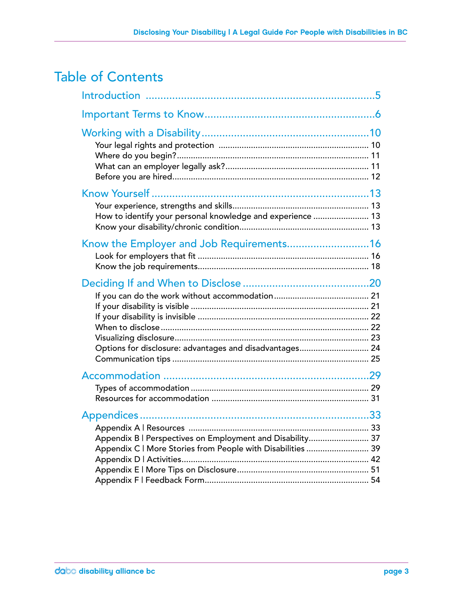### Table of Contents

| How to identify your personal knowledge and experience  13                                                               |  |
|--------------------------------------------------------------------------------------------------------------------------|--|
| Know the Employer and Job Requirements16                                                                                 |  |
| Options for disclosure: advantages and disadvantages 24                                                                  |  |
|                                                                                                                          |  |
| Appendix B   Perspectives on Employment and Disability 37<br>Appendix C   More Stories from People with Disabilities  39 |  |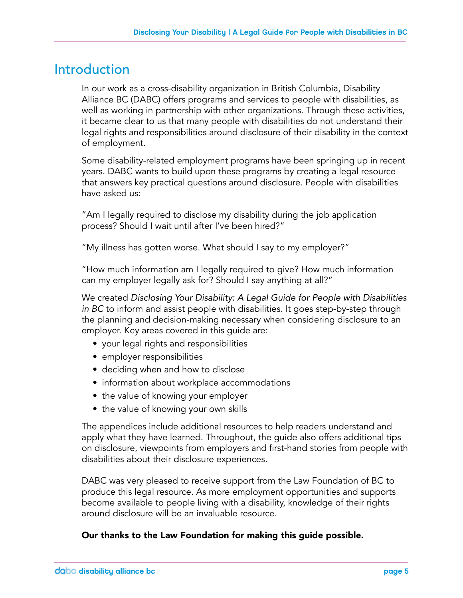### Introduction

In our work as a cross-disability organization in British Columbia, Disability Alliance BC (DABC) offers programs and services to people with disabilities, as well as working in partnership with other organizations. Through these activities, it became clear to us that many people with disabilities do not understand their legal rights and responsibilities around disclosure of their disability in the context of employment.

Some disability-related employment programs have been springing up in recent years. DABC wants to build upon these programs by creating a legal resource that answers key practical questions around disclosure. People with disabilities have asked us:

"Am I legally required to disclose my disability during the job application process? Should I wait until after I've been hired?"

"My illness has gotten worse. What should I say to my employer?"

"How much information am I legally required to give? How much information can my employer legally ask for? Should I say anything at all?"

We created *Disclosing Your Disability: A Legal Guide for People with Disabilities in BC* to inform and assist people with disabilities. It goes step-by-step through the planning and decision-making necessary when considering disclosure to an employer. Key areas covered in this guide are:

- your legal rights and responsibilities
- employer responsibilities
- deciding when and how to disclose
- information about workplace accommodations
- the value of knowing your employer
- the value of knowing your own skills

The appendices include additional resources to help readers understand and apply what they have learned. Throughout, the guide also offers additional tips on disclosure, viewpoints from employers and first-hand stories from people with disabilities about their disclosure experiences.

DABC was very pleased to receive support from the Law Foundation of BC to produce this legal resource. As more employment opportunities and supports become available to people living with a disability, knowledge of their rights around disclosure will be an invaluable resource.

### Our thanks to the Law Foundation for making this guide possible.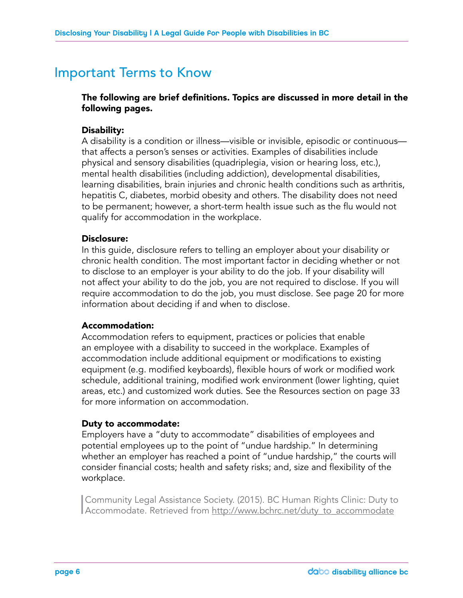### Important Terms to Know

### The following are brief definitions. Topics are discussed in more detail in the following pages.

#### Disability:

A disability is a condition or illness—visible or invisible, episodic or continuous that affects a person's senses or activities. Examples of disabilities include physical and sensory disabilities (quadriplegia, vision or hearing loss, etc.), mental health disabilities (including addiction), developmental disabilities, learning disabilities, brain injuries and chronic health conditions such as arthritis, hepatitis C, diabetes, morbid obesity and others. The disability does not need to be permanent; however, a short-term health issue such as the flu would not qualify for accommodation in the workplace.

#### Disclosure:

In this guide, disclosure refers to telling an employer about your disability or chronic health condition. The most important factor in deciding whether or not to disclose to an employer is your ability to do the job. If your disability will not affect your ability to do the job, you are not required to disclose. If you will require accommodation to do the job, you must disclose. See page 20 for more information about deciding if and when to disclose.

#### Accommodation:

Accommodation refers to equipment, practices or policies that enable an employee with a disability to succeed in the workplace. Examples of accommodation include additional equipment or modifications to existing equipment (e.g. modified keyboards), flexible hours of work or modified work schedule, additional training, modified work environment (lower lighting, quiet areas, etc.) and customized work duties. See the Resources section on page 33 for more information on accommodation.

#### Duty to accommodate:

Employers have a "duty to accommodate" disabilities of employees and potential employees up to the point of "undue hardship." In determining whether an employer has reached a point of "undue hardship," the courts will consider financial costs; health and safety risks; and, size and flexibility of the workplace.

Community Legal Assistance Society. (2015). BC Human Rights Clinic: Duty to Accommodate. Retrieved from http://www.bchrc.net/duty\_to\_accommodate Community Legal Assistance Society. (2015). BC Human Rights Clinic: Duty to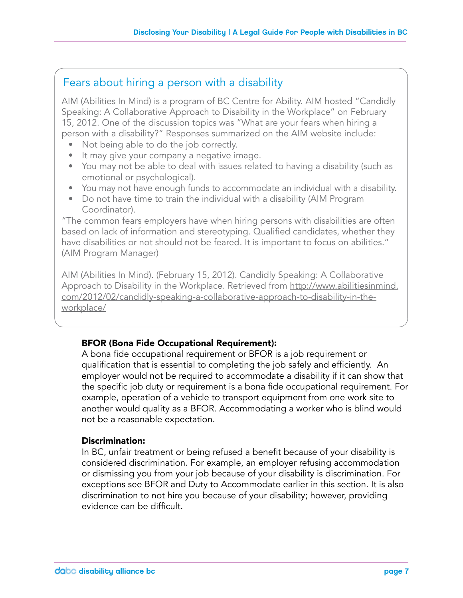### Fears about hiring a person with a disability

AIM (Abilities In Mind) is a program of BC Centre for Ability. AIM hosted "Candidly Speaking: A Collaborative Approach to Disability in the Workplace" on February 15, 2012. One of the discussion topics was "What are your fears when hiring a person with a disability?" Responses summarized on the AIM website include:

- Not being able to do the job correctly.
- It may give your company a negative image.
- You may not be able to deal with issues related to having a disability (such as emotional or psychological).
- You may not have enough funds to accommodate an individual with a disability.
- Do not have time to train the individual with a disability (AIM Program Coordinator).

"The common fears employers have when hiring persons with disabilities are often based on lack of information and stereotyping. Qualified candidates, whether they have disabilities or not should not be feared. It is important to focus on abilities." (AIM Program Manager)

AIM (Abilities In Mind). (February 15, 2012). Candidly Speaking: A Collaborative Approach to Disability in the Workplace. Retrieved from http://www.abilitiesinmind. com/2012/02/candidly-speaking-a-collaborative-approach-to-disability-in-theworkplace/

### BFOR (Bona Fide Occupational Requirement):

A bona fide occupational requirement or BFOR is a job requirement or qualification that is essential to completing the job safely and efficiently. An employer would not be required to accommodate a disability if it can show that the specific job duty or requirement is a bona fide occupational requirement. For example, operation of a vehicle to transport equipment from one work site to another would quality as a BFOR. Accommodating a worker who is blind would not be a reasonable expectation.

### Discrimination:

In BC, unfair treatment or being refused a benefit because of your disability is considered discrimination. For example, an employer refusing accommodation or dismissing you from your job because of your disability is discrimination. For exceptions see BFOR and Duty to Accommodate earlier in this section. It is also discrimination to not hire you because of your disability; however, providing evidence can be difficult.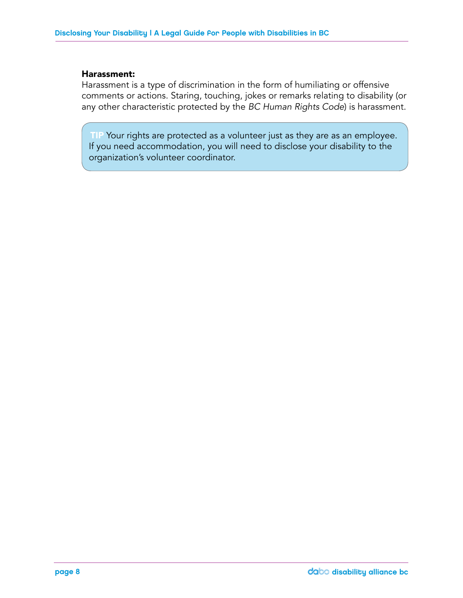#### Harassment:

Harassment is a type of discrimination in the form of humiliating or offensive comments or actions. Staring, touching, jokes or remarks relating to disability (or any other characteristic protected by the *BC Human Rights Code*) is harassment.

TIP Your rights are protected as a volunteer just as they are as an employee. If you need accommodation, you will need to disclose your disability to the organization's volunteer coordinator.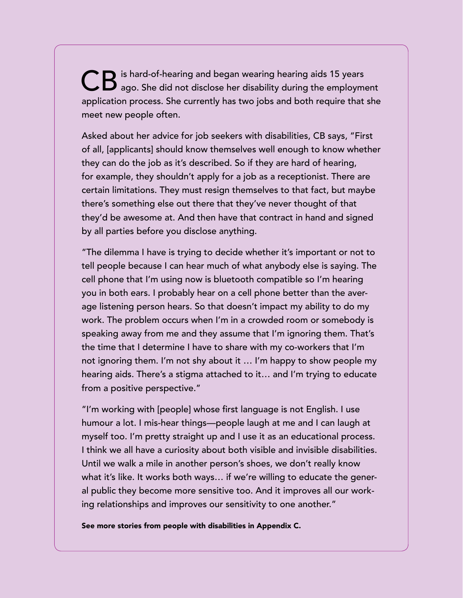CB is hard-of-hearing and began wearing hearing aids 15 years<br>CB ago. She did not disclose her disability during the employment application process. She currently has two jobs and both require that she meet new people often.

Asked about her advice for job seekers with disabilities, CB says, "First of all, [applicants] should know themselves well enough to know whether they can do the job as it's described. So if they are hard of hearing, for example, they shouldn't apply for a job as a receptionist. There are certain limitations. They must resign themselves to that fact, but maybe there's something else out there that they've never thought of that they'd be awesome at. And then have that contract in hand and signed by all parties before you disclose anything.

"The dilemma I have is trying to decide whether it's important or not to tell people because I can hear much of what anybody else is saying. The cell phone that I'm using now is bluetooth compatible so I'm hearing you in both ears. I probably hear on a cell phone better than the average listening person hears. So that doesn't impact my ability to do my work. The problem occurs when I'm in a crowded room or somebody is speaking away from me and they assume that I'm ignoring them. That's the time that I determine I have to share with my co-workers that I'm not ignoring them. I'm not shy about it … I'm happy to show people my hearing aids. There's a stigma attached to it… and I'm trying to educate from a positive perspective."

"I'm working with [people] whose first language is not English. I use humour a lot. I mis-hear things—people laugh at me and I can laugh at myself too. I'm pretty straight up and I use it as an educational process. I think we all have a curiosity about both visible and invisible disabilities. Until we walk a mile in another person's shoes, we don't really know what it's like. It works both ways… if we're willing to educate the general public they become more sensitive too. And it improves all our working relationships and improves our sensitivity to one another."

See more stories from people with disabilities in Appendix C.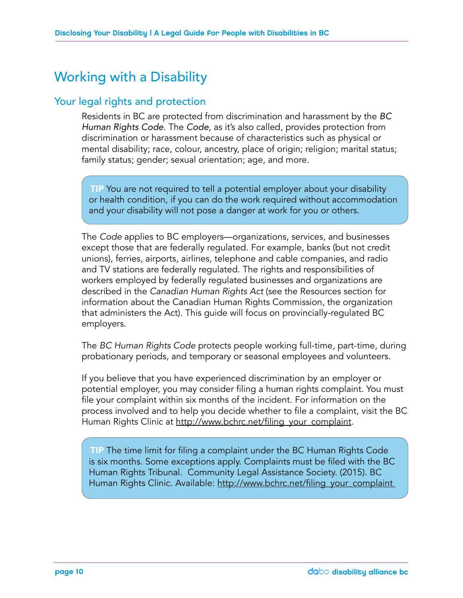### Working with a Disability

### Your legal rights and protection

Residents in BC are protected from discrimination and harassment by the *BC Human Rights Code*. The *Code*, as it's also called, provides protection from discrimination or harassment because of characteristics such as physical or mental disability; race, colour, ancestry, place of origin; religion; marital status; family status; gender; sexual orientation; age, and more.

TIP You are not required to tell a potential employer about your disability or health condition, if you can do the work required without accommodation and your disability will not pose a danger at work for you or others.

The *Code* applies to BC employers—organizations, services, and businesses except those that are federally regulated. For example, banks (but not credit unions), ferries, airports, airlines, telephone and cable companies, and radio and TV stations are federally regulated. The rights and responsibilities of workers employed by federally regulated businesses and organizations are described in the *Canadian Human Rights Act* (see the Resources section for information about the Canadian Human Rights Commission, the organization that administers the Act). This guide will focus on provincially-regulated BC employers.

The *BC Human Rights Code* protects people working full-time, part-time, during probationary periods, and temporary or seasonal employees and volunteers.

If you believe that you have experienced discrimination by an employer or potential employer, you may consider filing a human rights complaint. You must file your complaint within six months of the incident. For information on the process involved and to help you decide whether to file a complaint, visit the BC Human Rights Clinic at http://www.bchrc.net/filing\_your\_complaint.

TIP The time limit for filing a complaint under the BC Human Rights Code is six months. Some exceptions apply. Complaints must be filed with the BC Human Rights Tribunal. Community Legal Assistance Society. (2015). BC Human Rights Clinic. Available: http://www.bchrc.net/filing\_your\_complaint\_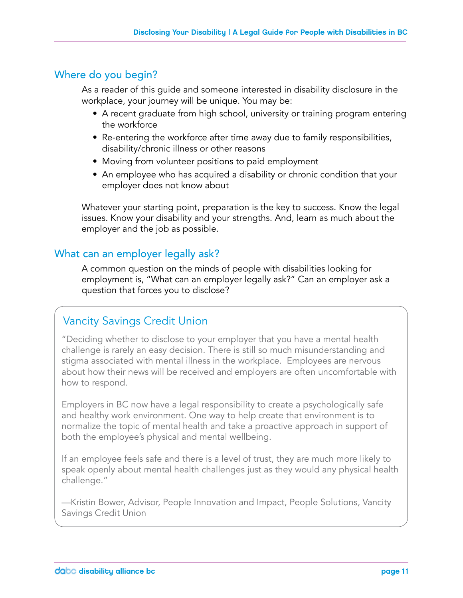### Where do you begin?

As a reader of this guide and someone interested in disability disclosure in the workplace, your journey will be unique. You may be:

- A recent graduate from high school, university or training program entering the workforce
- Re-entering the workforce after time away due to family responsibilities, disability/chronic illness or other reasons
- Moving from volunteer positions to paid employment
- An employee who has acquired a disability or chronic condition that your employer does not know about

Whatever your starting point, preparation is the key to success. Know the legal issues. Know your disability and your strengths. And, learn as much about the employer and the job as possible.

### What can an employer legally ask?

A common question on the minds of people with disabilities looking for employment is, "What can an employer legally ask?" Can an employer ask a question that forces you to disclose?

### Vancity Savings Credit Union

"Deciding whether to disclose to your employer that you have a mental health challenge is rarely an easy decision. There is still so much misunderstanding and stigma associated with mental illness in the workplace. Employees are nervous about how their news will be received and employers are often uncomfortable with how to respond.

Employers in BC now have a legal responsibility to create a psychologically safe and healthy work environment. One way to help create that environment is to normalize the topic of mental health and take a proactive approach in support of both the employee's physical and mental wellbeing.

If an employee feels safe and there is a level of trust, they are much more likely to speak openly about mental health challenges just as they would any physical health challenge."

—Kristin Bower, Advisor, People Innovation and Impact, People Solutions, Vancity Savings Credit Union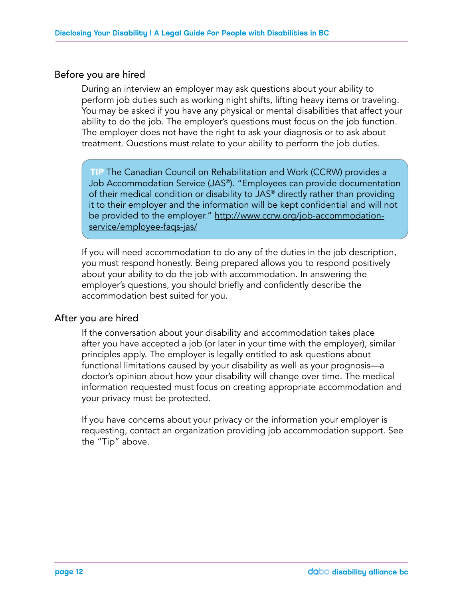### Before you are hired

During an interview an employer may ask questions about your ability to perform job duties such as working night shifts, lifting heavy items or traveling. You may be asked if you have any physical or mental disabilities that affect your ability to do the job. The employer's questions must focus on the job function. The employer does not have the right to ask your diagnosis or to ask about treatment. Questions must relate to your ability to perform the job duties.

TIP The Canadian Council on Rehabilitation and Work (CCRW) provides a Job Accommodation Service (JAS®). "Employees can provide documentation of their medical condition or disability to JAS® directly rather than providing it to their employer and the information will be kept confidential and will not be provided to the employer." http://www.ccrw.org/job-accommodationservice/employee-faqs-jas/

If you will need accommodation to do any of the duties in the job description, you must respond honestly. Being prepared allows you to respond positively about your ability to do the job with accommodation. In answering the employer's questions, you should briefly and confidently describe the accommodation best suited for you.

### After you are hired

If the conversation about your disability and accommodation takes place after you have accepted a job (or later in your time with the employer), similar principles apply. The employer is legally entitled to ask questions about functional limitations caused by your disability as well as your prognosis—a doctor's opinion about how your disability will change over time. The medical information requested must focus on creating appropriate accommodation and your privacy must be protected.

If you have concerns about your privacy or the information your employer is requesting, contact an organization providing job accommodation support. See the "Tip" above.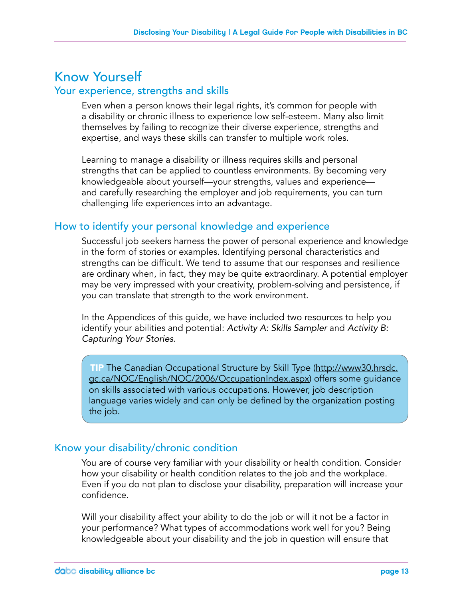### Know Yourself

### Your experience, strengths and skills

Even when a person knows their legal rights, it's common for people with a disability or chronic illness to experience low self-esteem. Many also limit themselves by failing to recognize their diverse experience, strengths and expertise, and ways these skills can transfer to multiple work roles.

Learning to manage a disability or illness requires skills and personal strengths that can be applied to countless environments. By becoming very knowledgeable about yourself—your strengths, values and experience and carefully researching the employer and job requirements, you can turn challenging life experiences into an advantage.

### How to identify your personal knowledge and experience

Successful job seekers harness the power of personal experience and knowledge in the form of stories or examples. Identifying personal characteristics and strengths can be difficult. We tend to assume that our responses and resilience are ordinary when, in fact, they may be quite extraordinary. A potential employer may be very impressed with your creativity, problem-solving and persistence, if you can translate that strength to the work environment.

In the Appendices of this guide, we have included two resources to help you identify your abilities and potential: *Activity A: Skills Sampler* and *Activity B: Capturing Your Stories*.

TIP The Canadian Occupational Structure by Skill Type (http://www30.hrsdc. gc.ca/NOC/English/NOC/2006/OccupationIndex.aspx) offers some guidance on skills associated with various occupations. However, job description language varies widely and can only be defined by the organization posting the job.

### Know your disability/chronic condition

You are of course very familiar with your disability or health condition. Consider how your disability or health condition relates to the job and the workplace. Even if you do not plan to disclose your disability, preparation will increase your confidence.

Will your disability affect your ability to do the job or will it not be a factor in your performance? What types of accommodations work well for you? Being knowledgeable about your disability and the job in question will ensure that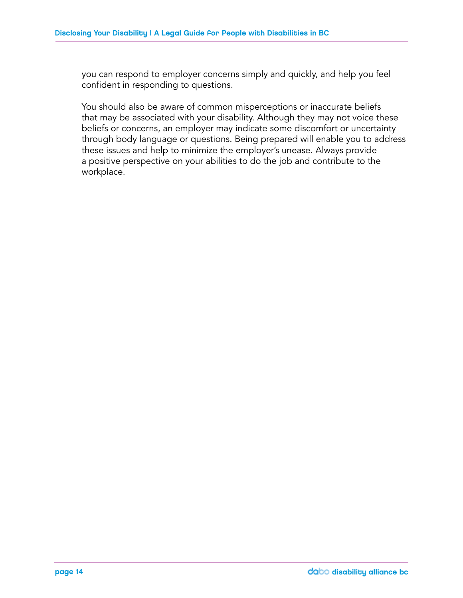you can respond to employer concerns simply and quickly, and help you feel confident in responding to questions.

You should also be aware of common misperceptions or inaccurate beliefs that may be associated with your disability. Although they may not voice these beliefs or concerns, an employer may indicate some discomfort or uncertainty through body language or questions. Being prepared will enable you to address these issues and help to minimize the employer's unease. Always provide a positive perspective on your abilities to do the job and contribute to the workplace.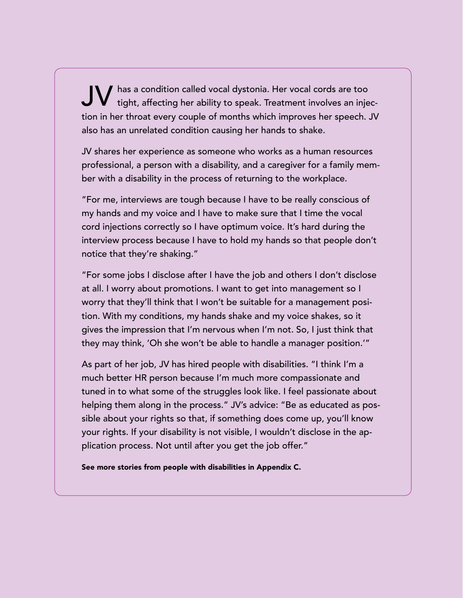$\mathbf{J}$  has a condition called vocal dystonia. Her vocal cords are too tight, affecting her ability to speak. Treatment involves an injection in her throat every couple of months which improves her speech. JV also has an unrelated condition causing her hands to shake.

JV shares her experience as someone who works as a human resources professional, a person with a disability, and a caregiver for a family member with a disability in the process of returning to the workplace.

"For me, interviews are tough because I have to be really conscious of my hands and my voice and I have to make sure that I time the vocal cord injections correctly so I have optimum voice. It's hard during the interview process because I have to hold my hands so that people don't notice that they're shaking."

"For some jobs I disclose after I have the job and others I don't disclose at all. I worry about promotions. I want to get into management so I worry that they'll think that I won't be suitable for a management position. With my conditions, my hands shake and my voice shakes, so it gives the impression that I'm nervous when I'm not. So, I just think that they may think, 'Oh she won't be able to handle a manager position.'"

As part of her job, JV has hired people with disabilities. "I think I'm a much better HR person because I'm much more compassionate and tuned in to what some of the struggles look like. I feel passionate about helping them along in the process." JV's advice: "Be as educated as possible about your rights so that, if something does come up, you'll know your rights. If your disability is not visible, I wouldn't disclose in the application process. Not until after you get the job offer."

See more stories from people with disabilities in Appendix C.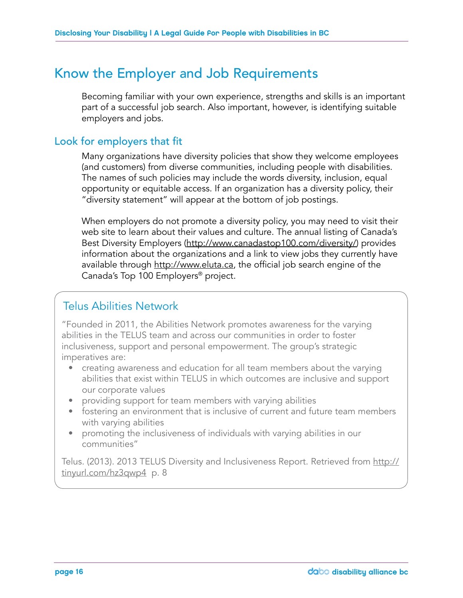### Know the Employer and Job Requirements

Becoming familiar with your own experience, strengths and skills is an important part of a successful job search. Also important, however, is identifying suitable employers and jobs.

### Look for employers that fit

Many organizations have diversity policies that show they welcome employees (and customers) from diverse communities, including people with disabilities. The names of such policies may include the words diversity, inclusion, equal opportunity or equitable access. If an organization has a diversity policy, their "diversity statement" will appear at the bottom of job postings.

When employers do not promote a diversity policy, you may need to visit their web site to learn about their values and culture. The annual listing of Canada's Best Diversity Employers (http://www.canadastop100.com/diversity/) provides information about the organizations and a link to view jobs they currently have available through http://www.eluta.ca, the official job search engine of the Canada's Top 100 Employers® project.

### Telus Abilities Network

"Founded in 2011, the Abilities Network promotes awareness for the varying abilities in the TELUS team and across our communities in order to foster inclusiveness, support and personal empowerment. The group's strategic imperatives are:

- creating awareness and education for all team members about the varying abilities that exist within TELUS in which outcomes are inclusive and support our corporate values
- providing support for team members with varying abilities
- fostering an environment that is inclusive of current and future team members with varying abilities
- promoting the inclusiveness of individuals with varying abilities in our communities"

Telus. (2013). 2013 TELUS Diversity and Inclusiveness Report. Retrieved from http:// tinyurl.com/hz3qwp4 p. 8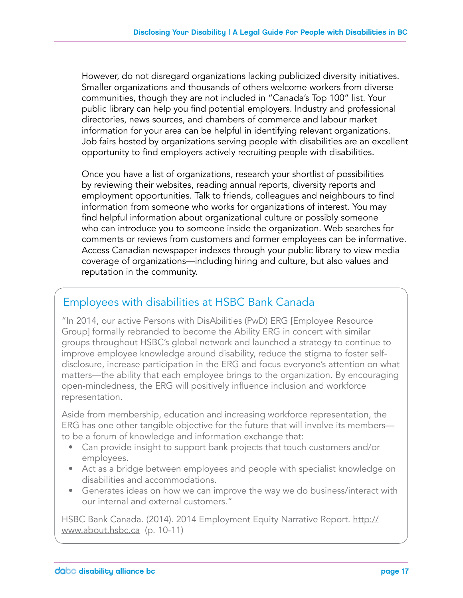However, do not disregard organizations lacking publicized diversity initiatives. Smaller organizations and thousands of others welcome workers from diverse communities, though they are not included in "Canada's Top 100" list. Your public library can help you find potential employers. Industry and professional directories, news sources, and chambers of commerce and labour market information for your area can be helpful in identifying relevant organizations. Job fairs hosted by organizations serving people with disabilities are an excellent opportunity to find employers actively recruiting people with disabilities.

Once you have a list of organizations, research your shortlist of possibilities by reviewing their websites, reading annual reports, diversity reports and employment opportunities. Talk to friends, colleagues and neighbours to find information from someone who works for organizations of interest. You may find helpful information about organizational culture or possibly someone who can introduce you to someone inside the organization. Web searches for comments or reviews from customers and former employees can be informative. Access Canadian newspaper indexes through your public library to view media coverage of organizations—including hiring and culture, but also values and reputation in the community.

### Employees with disabilities at HSBC Bank Canada

"In 2014, our active Persons with DisAbilities (PwD) ERG [Employee Resource Group] formally rebranded to become the Ability ERG in concert with similar groups throughout HSBC's global network and launched a strategy to continue to improve employee knowledge around disability, reduce the stigma to foster selfdisclosure, increase participation in the ERG and focus everyone's attention on what matters—the ability that each employee brings to the organization. By encouraging open-mindedness, the ERG will positively influence inclusion and workforce representation.

Aside from membership, education and increasing workforce representation, the ERG has one other tangible objective for the future that will involve its members to be a forum of knowledge and information exchange that:

- Can provide insight to support bank projects that touch customers and/or employees.
- Act as a bridge between employees and people with specialist knowledge on disabilities and accommodations.
- Generates ideas on how we can improve the way we do business/interact with our internal and external customers."

HSBC Bank Canada. (2014). 2014 Employment Equity Narrative Report. http:// www.about.hsbc.ca (p. 10-11)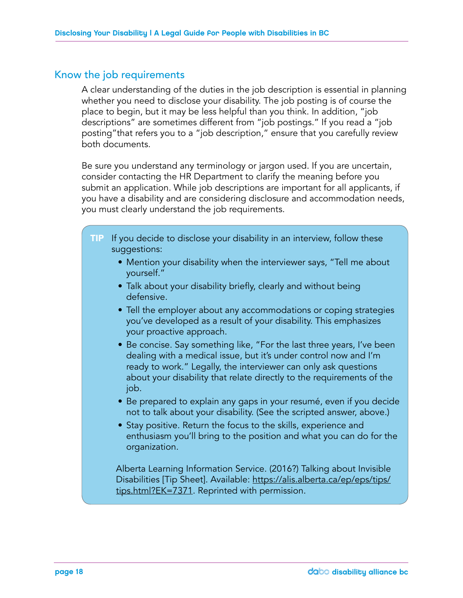### Know the job requirements

A clear understanding of the duties in the job description is essential in planning whether you need to disclose your disability. The job posting is of course the place to begin, but it may be less helpful than you think. In addition, "job descriptions" are sometimes different from "job postings." If you read a "job posting"that refers you to a "job description," ensure that you carefully review both documents.

Be sure you understand any terminology or jargon used. If you are uncertain, consider contacting the HR Department to clarify the meaning before you submit an application. While job descriptions are important for all applicants, if you have a disability and are considering disclosure and accommodation needs, you must clearly understand the job requirements.

- TIP If you decide to disclose your disability in an interview, follow these suggestions:
	- Mention your disability when the interviewer says, "Tell me about yourself."
	- Talk about your disability briefly, clearly and without being defensive.
	- Tell the employer about any accommodations or coping strategies you've developed as a result of your disability. This emphasizes your proactive approach.
	- Be concise. Say something like, "For the last three years, I've been dealing with a medical issue, but it's under control now and I'm ready to work." Legally, the interviewer can only ask questions about your disability that relate directly to the requirements of the job.
	- Be prepared to explain any gaps in your resumé, even if you decide not to talk about your disability. (See the scripted answer, above.)
	- Stay positive. Return the focus to the skills, experience and enthusiasm you'll bring to the position and what you can do for the organization.

Alberta Learning Information Service. (2016?) Talking about Invisible Disabilities [Tip Sheet]. Available: https://alis.alberta.ca/ep/eps/tips/ tips.html?EK=7371. Reprinted with permission.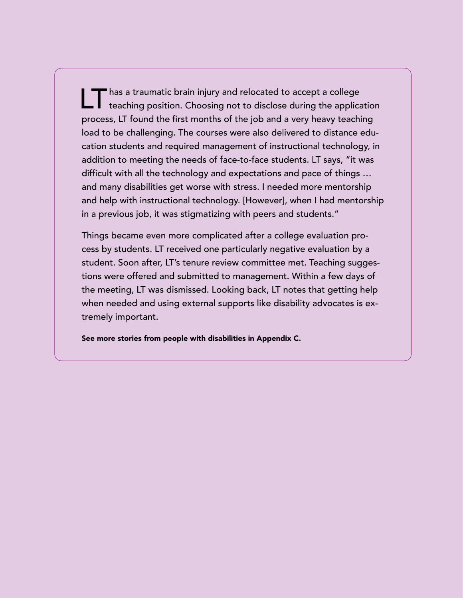has a traumatic brain injury and relocated to accept a college teaching position. Choosing not to disclose during the application process, LT found the first months of the job and a very heavy teaching load to be challenging. The courses were also delivered to distance education students and required management of instructional technology, in addition to meeting the needs of face-to-face students. LT says, "it was difficult with all the technology and expectations and pace of things … and many disabilities get worse with stress. I needed more mentorship and help with instructional technology. [However], when I had mentorship in a previous job, it was stigmatizing with peers and students."

Things became even more complicated after a college evaluation process by students. LT received one particularly negative evaluation by a student. Soon after, LT's tenure review committee met. Teaching suggestions were offered and submitted to management. Within a few days of the meeting, LT was dismissed. Looking back, LT notes that getting help when needed and using external supports like disability advocates is extremely important.

See more stories from people with disabilities in Appendix C.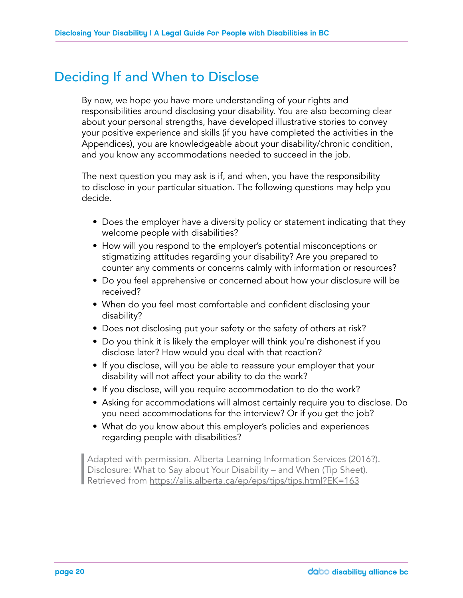### Deciding If and When to Disclose

By now, we hope you have more understanding of your rights and responsibilities around disclosing your disability. You are also becoming clear about your personal strengths, have developed illustrative stories to convey your positive experience and skills (if you have completed the activities in the Appendices), you are knowledgeable about your disability/chronic condition, and you know any accommodations needed to succeed in the job.

The next question you may ask is if, and when, you have the responsibility to disclose in your particular situation. The following questions may help you decide.

- Does the employer have a diversity policy or statement indicating that they welcome people with disabilities?
- How will you respond to the employer's potential misconceptions or stigmatizing attitudes regarding your disability? Are you prepared to counter any comments or concerns calmly with information or resources?
- Do you feel apprehensive or concerned about how your disclosure will be received?
- When do you feel most comfortable and confident disclosing your disability?
- Does not disclosing put your safety or the safety of others at risk?
- Do you think it is likely the employer will think you're dishonest if you disclose later? How would you deal with that reaction?
- If you disclose, will you be able to reassure your employer that your disability will not affect your ability to do the work?
- If you disclose, will you require accommodation to do the work?
- Asking for accommodations will almost certainly require you to disclose. Do you need accommodations for the interview? Or if you get the job?
- What do you know about this employer's policies and experiences regarding people with disabilities?

| Adapted with permission. Alberta Learning Information Services (2016?).<br>
Disclosure: What to Say about Your Disability – and When (Tip Sheet).<br>
Retrieved from https://alis.alberta.ca/ep/eps/tips/tips.html?EK=163 Disclosure: What to Say about Your Disability – and When (Tip Sheet). Retrieved from https://alis.alberta.ca/ep/eps/tips/tips.html?EK=163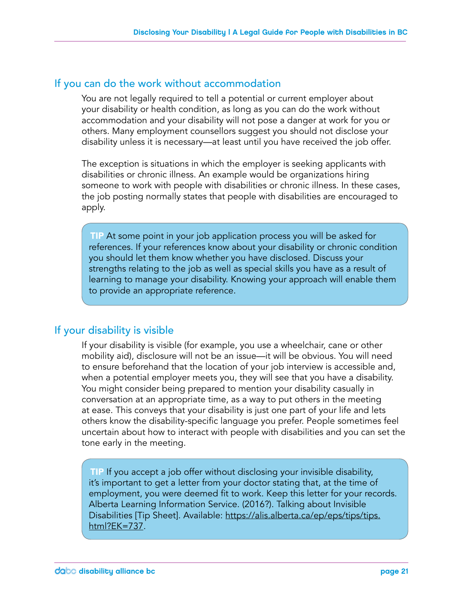### If you can do the work without accommodation

You are not legally required to tell a potential or current employer about your disability or health condition, as long as you can do the work without accommodation and your disability will not pose a danger at work for you or others. Many employment counsellors suggest you should not disclose your disability unless it is necessary—at least until you have received the job offer.

The exception is situations in which the employer is seeking applicants with disabilities or chronic illness. An example would be organizations hiring someone to work with people with disabilities or chronic illness. In these cases, the job posting normally states that people with disabilities are encouraged to apply.

TIP At some point in your job application process you will be asked for references. If your references know about your disability or chronic condition you should let them know whether you have disclosed. Discuss your strengths relating to the job as well as special skills you have as a result of learning to manage your disability. Knowing your approach will enable them to provide an appropriate reference.

### If your disability is visible

If your disability is visible (for example, you use a wheelchair, cane or other mobility aid), disclosure will not be an issue—it will be obvious. You will need to ensure beforehand that the location of your job interview is accessible and, when a potential employer meets you, they will see that you have a disability. You might consider being prepared to mention your disability casually in conversation at an appropriate time, as a way to put others in the meeting at ease. This conveys that your disability is just one part of your life and lets others know the disability-specific language you prefer. People sometimes feel uncertain about how to interact with people with disabilities and you can set the tone early in the meeting.

TIP If you accept a job offer without disclosing your invisible disability, it's important to get a letter from your doctor stating that, at the time of employment, you were deemed fit to work. Keep this letter for your records. Alberta Learning Information Service. (2016?). Talking about Invisible Disabilities [Tip Sheet]. Available: https://alis.alberta.ca/ep/eps/tips/tips. html?EK=737.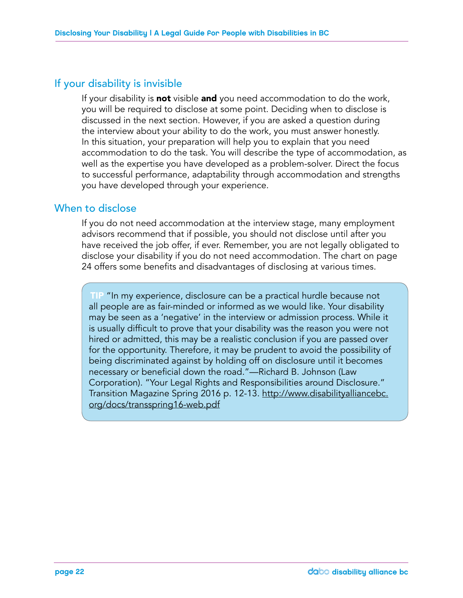### If your disability is invisible

If your disability is **not** visible and you need accommodation to do the work, you will be required to disclose at some point. Deciding when to disclose is discussed in the next section. However, if you are asked a question during the interview about your ability to do the work, you must answer honestly. In this situation, your preparation will help you to explain that you need accommodation to do the task. You will describe the type of accommodation, as well as the expertise you have developed as a problem-solver. Direct the focus to successful performance, adaptability through accommodation and strengths you have developed through your experience.

### When to disclose

If you do not need accommodation at the interview stage, many employment advisors recommend that if possible, you should not disclose until after you have received the job offer, if ever. Remember, you are not legally obligated to disclose your disability if you do not need accommodation. The chart on page 24 offers some benefits and disadvantages of disclosing at various times.

TIP "In my experience, disclosure can be a practical hurdle because not all people are as fair-minded or informed as we would like. Your disability may be seen as a 'negative' in the interview or admission process. While it is usually difficult to prove that your disability was the reason you were not hired or admitted, this may be a realistic conclusion if you are passed over for the opportunity. Therefore, it may be prudent to avoid the possibility of being discriminated against by holding off on disclosure until it becomes necessary or beneficial down the road."—Richard B. Johnson (Law Corporation). "Your Legal Rights and Responsibilities around Disclosure." Transition Magazine Spring 2016 p. 12-13. http://www.disabilityalliancebc. org/docs/transspring16-web.pdf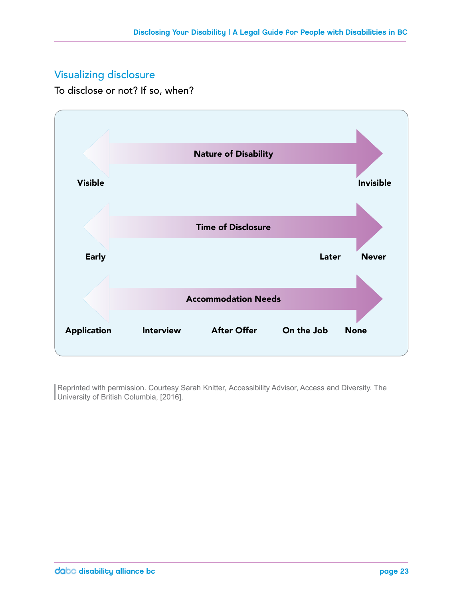### Visualizing disclosure

To disclose or not? If so, when?



Reprinted with permission. Courtesy Sarah Knitter, Accessibility Advisor, Access and Diversity. The University of British Columbia, [2016].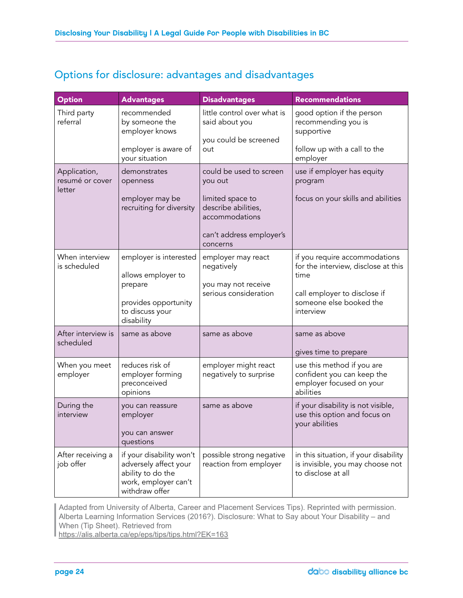### Options for disclosure: advantages and disadvantages

| <b>Option</b>                             | <b>Advantages</b>                                                                                                | <b>Disadvantages</b>                                                          | <b>Recommendations</b>                                                                            |
|-------------------------------------------|------------------------------------------------------------------------------------------------------------------|-------------------------------------------------------------------------------|---------------------------------------------------------------------------------------------------|
| Third party<br>referral                   | recommended<br>by someone the<br>employer knows<br>employer is aware of                                          | little control over what is<br>said about you<br>you could be screened<br>out | good option if the person<br>recommending you is<br>supportive<br>follow up with a call to the    |
|                                           | your situation                                                                                                   |                                                                               | employer                                                                                          |
| Application,<br>resumé or cover<br>letter | demonstrates<br>openness                                                                                         | could be used to screen<br>you out                                            | use if employer has equity<br>program                                                             |
|                                           | employer may be<br>recruiting for diversity                                                                      | limited space to<br>describe abilities,<br>accommodations                     | focus on your skills and abilities                                                                |
|                                           |                                                                                                                  | can't address employer's<br>concerns                                          |                                                                                                   |
| When interview<br>is scheduled            | employer is interested<br>allows employer to                                                                     | employer may react<br>negatively                                              | if you require accommodations<br>for the interview, disclose at this<br>time                      |
|                                           | prepare<br>provides opportunity<br>to discuss your<br>disability                                                 | you may not receive<br>serious consideration                                  | call employer to disclose if<br>someone else booked the<br>interview                              |
| After interview is<br>scheduled           | same as above                                                                                                    | same as above                                                                 | same as above<br>gives time to prepare                                                            |
| When you meet<br>employer                 | reduces risk of<br>employer forming<br>preconceived<br>opinions                                                  | employer might react<br>negatively to surprise                                | use this method if you are<br>confident you can keep the<br>employer focused on your<br>abilities |
| During the<br>interview                   | you can reassure<br>employer<br>you can answer<br>questions                                                      | same as above                                                                 | if your disability is not visible,<br>use this option and focus on<br>your abilities              |
| After receiving a<br>job offer            | if your disability won't<br>adversely affect your<br>ability to do the<br>work, employer can't<br>withdraw offer | possible strong negative<br>reaction from employer                            | in this situation, if your disability<br>is invisible, you may choose not<br>to disclose at all   |

| Adapted from University of Alberta, Career and Placement Services Tips). Reprinted with permission. Alberta Learning Information Services (2016?). Disclosure: What to Say about Your Disability – and When (Tip Sheet). Retrieved from

https://alis.alberta.ca/ep/eps/tips/tips.html?EK=163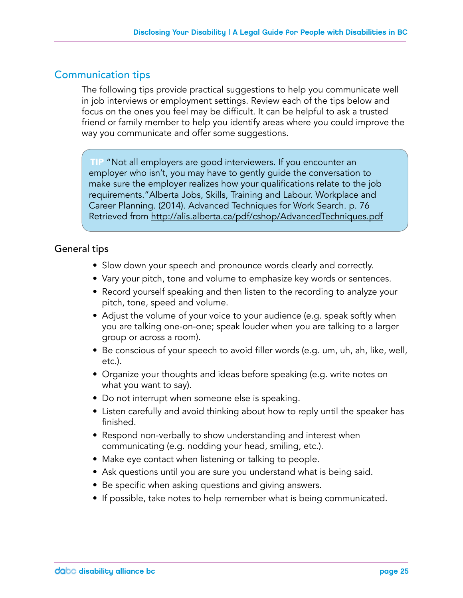### Communication tips

The following tips provide practical suggestions to help you communicate well in job interviews or employment settings. Review each of the tips below and focus on the ones you feel may be difficult. It can be helpful to ask a trusted friend or family member to help you identify areas where you could improve the way you communicate and offer some suggestions.

TIP "Not all employers are good interviewers. If you encounter an employer who isn't, you may have to gently guide the conversation to make sure the employer realizes how your qualifications relate to the job requirements."Alberta Jobs, Skills, Training and Labour. Workplace and Career Planning. (2014). Advanced Techniques for Work Search. p. 76 Retrieved from http://alis.alberta.ca/pdf/cshop/AdvancedTechniques.pdf

### General tips

- Slow down your speech and pronounce words clearly and correctly.
- Vary your pitch, tone and volume to emphasize key words or sentences.
- Record yourself speaking and then listen to the recording to analyze your pitch, tone, speed and volume.
- Adjust the volume of your voice to your audience (e.g. speak softly when you are talking one-on-one; speak louder when you are talking to a larger group or across a room).
- Be conscious of your speech to avoid filler words (e.g. um, uh, ah, like, well, etc.).
- Organize your thoughts and ideas before speaking (e.g. write notes on what you want to say).
- Do not interrupt when someone else is speaking.
- Listen carefully and avoid thinking about how to reply until the speaker has finished.
- Respond non-verbally to show understanding and interest when communicating (e.g. nodding your head, smiling, etc.).
- Make eye contact when listening or talking to people.
- Ask questions until you are sure you understand what is being said.
- Be specific when asking questions and giving answers.
- If possible, take notes to help remember what is being communicated.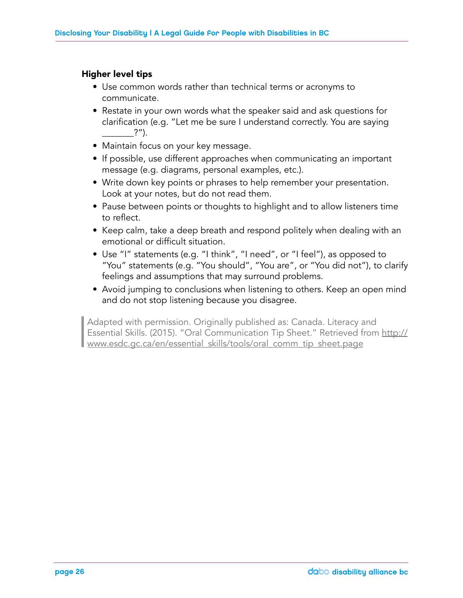### Higher level tips

- Use common words rather than technical terms or acronyms to communicate.
- Restate in your own words what the speaker said and ask questions for clarification (e.g. "Let me be sure I understand correctly. You are saying  $?$ ").
- Maintain focus on your key message.
- If possible, use different approaches when communicating an important message (e.g. diagrams, personal examples, etc.).
- Write down key points or phrases to help remember your presentation. Look at your notes, but do not read them.
- Pause between points or thoughts to highlight and to allow listeners time to reflect.
- Keep calm, take a deep breath and respond politely when dealing with an emotional or difficult situation.
- Use "I" statements (e.g. "I think", "I need", or "I feel"), as opposed to "You" statements (e.g. "You should", "You are", or "You did not"), to clarify feelings and assumptions that may surround problems.
- Avoid jumping to conclusions when listening to others. Keep an open mind and do not stop listening because you disagree.

Adapted with permission. Originally published as: Canada. Literacy and Essential Skills. (2015). "Oral Communication Tip Sheet." Retrieved from www.esdc.gc.ca/en/essential skills/tools/oral comm tip sheet.page Essential Skills. (2015). "Oral Communication Tip Sheet." Retrieved from http:// www.esdc.gc.ca/en/essential\_skills/tools/oral\_comm\_tip\_sheet.page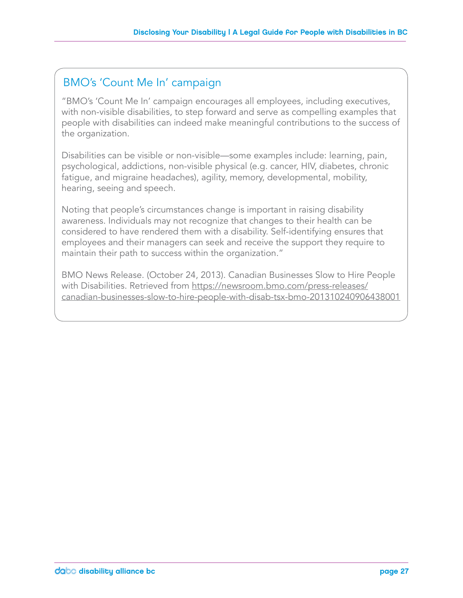### BMO's 'Count Me In' campaign

"BMO's 'Count Me In' campaign encourages all employees, including executives, with non-visible disabilities, to step forward and serve as compelling examples that people with disabilities can indeed make meaningful contributions to the success of the organization.

Disabilities can be visible or non-visible—some examples include: learning, pain, psychological, addictions, non-visible physical (e.g. cancer, HIV, diabetes, chronic fatigue, and migraine headaches), agility, memory, developmental, mobility, hearing, seeing and speech.

Noting that people's circumstances change is important in raising disability awareness. Individuals may not recognize that changes to their health can be considered to have rendered them with a disability. Self-identifying ensures that employees and their managers can seek and receive the support they require to maintain their path to success within the organization."

BMO News Release. (October 24, 2013). Canadian Businesses Slow to Hire People with Disabilities. Retrieved from https://newsroom.bmo.com/press-releases/ canadian-businesses-slow-to-hire-people-with-disab-tsx-bmo-201310240906438001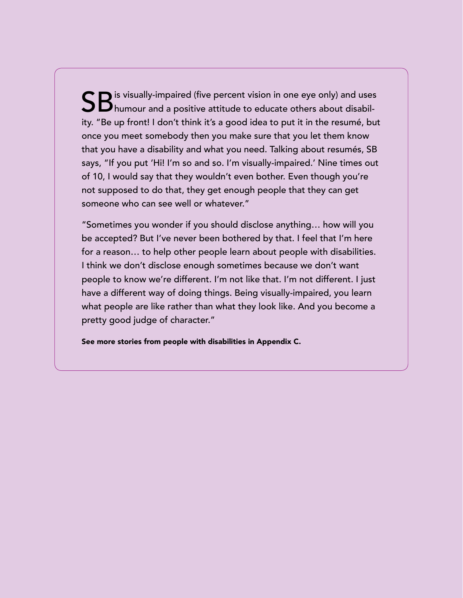SB is visually-impaired (five percent vision in one eye only) and uses<br>SB humour and a positive attitude to educate others about disability. "Be up front! I don't think it's a good idea to put it in the resumé, but once you meet somebody then you make sure that you let them know that you have a disability and what you need. Talking about resumés, SB says, "If you put 'Hi! I'm so and so. I'm visually-impaired.' Nine times out of 10, I would say that they wouldn't even bother. Even though you're not supposed to do that, they get enough people that they can get someone who can see well or whatever."

"Sometimes you wonder if you should disclose anything… how will you be accepted? But I've never been bothered by that. I feel that I'm here for a reason… to help other people learn about people with disabilities. I think we don't disclose enough sometimes because we don't want people to know we're different. I'm not like that. I'm not different. I just have a different way of doing things. Being visually-impaired, you learn what people are like rather than what they look like. And you become a pretty good judge of character."

See more stories from people with disabilities in Appendix C.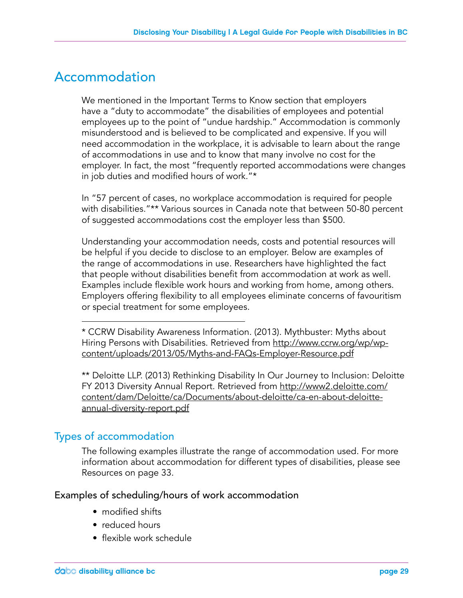### Accommodation

We mentioned in the Important Terms to Know section that employers have a "duty to accommodate" the disabilities of employees and potential employees up to the point of "undue hardship." Accommodation is commonly misunderstood and is believed to be complicated and expensive. If you will need accommodation in the workplace, it is advisable to learn about the range of accommodations in use and to know that many involve no cost for the employer. In fact, the most "frequently reported accommodations were changes in job duties and modified hours of work."\*

In "57 percent of cases, no workplace accommodation is required for people with disabilities."\*\* Various sources in Canada note that between 50-80 percent of suggested accommodations cost the employer less than \$500.

Understanding your accommodation needs, costs and potential resources will be helpful if you decide to disclose to an employer. Below are examples of the range of accommodations in use. Researchers have highlighted the fact that people without disabilities benefit from accommodation at work as well. Examples include flexible work hours and working from home, among others. Employers offering flexibility to all employees eliminate concerns of favouritism or special treatment for some employees.

\* CCRW Disability Awareness Information. (2013). Mythbuster: Myths about Hiring Persons with Disabilities. Retrieved from http://www.ccrw.org/wp/wpcontent/uploads/2013/05/Myths-and-FAQs-Employer-Resource.pdf

\*\* Deloitte LLP. (2013) Rethinking Disability In Our Journey to Inclusion: Deloitte FY 2013 Diversity Annual Report. Retrieved from http://www2.deloitte.com/ content/dam/Deloitte/ca/Documents/about-deloitte/ca-en-about-deloitteannual-diversity-report.pdf

### Types of accommodation

The following examples illustrate the range of accommodation used. For more information about accommodation for different types of disabilities, please see Resources on page 33.

### Examples of scheduling/hours of work accommodation

- modified shifts
- reduced hours
- flexible work schedule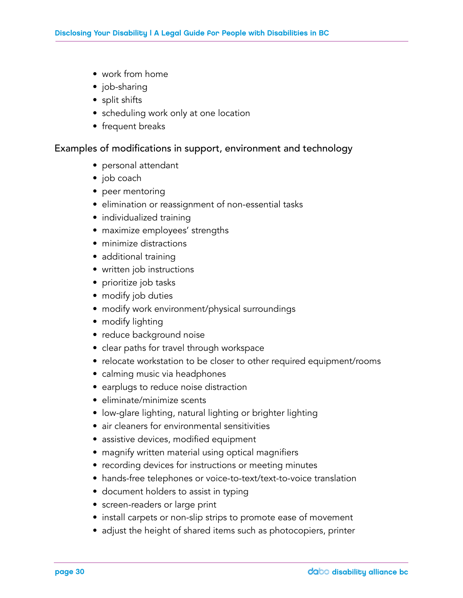- work from home
- job-sharing
- split shifts
- scheduling work only at one location
- frequent breaks

#### Examples of modifications in support, environment and technology

- personal attendant
- job coach
- peer mentoring
- elimination or reassignment of non-essential tasks
- individualized training
- maximize employees' strengths
- minimize distractions
- additional training
- written job instructions
- prioritize job tasks
- modify job duties
- modify work environment/physical surroundings
- modify lighting
- reduce background noise
- clear paths for travel through workspace
- relocate workstation to be closer to other required equipment/rooms
- calming music via headphones
- earplugs to reduce noise distraction
- eliminate/minimize scents
- low-glare lighting, natural lighting or brighter lighting
- air cleaners for environmental sensitivities
- assistive devices, modified equipment
- magnify written material using optical magnifiers
- recording devices for instructions or meeting minutes
- hands-free telephones or voice-to-text/text-to-voice translation
- document holders to assist in typing
- screen-readers or large print
- install carpets or non-slip strips to promote ease of movement
- adjust the height of shared items such as photocopiers, printer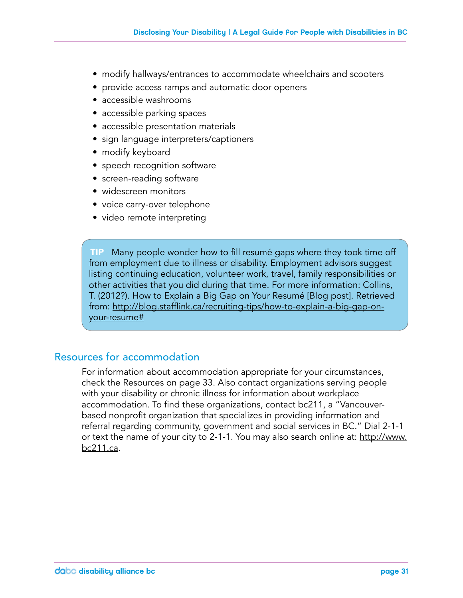- modify hallways/entrances to accommodate wheelchairs and scooters
- provide access ramps and automatic door openers
- accessible washrooms
- accessible parking spaces
- accessible presentation materials
- sign language interpreters/captioners
- modify keyboard
- speech recognition software
- screen-reading software
- widescreen monitors
- voice carry-over telephone
- video remote interpreting

TIP Many people wonder how to fill resumé gaps where they took time off from employment due to illness or disability. Employment advisors suggest listing continuing education, volunteer work, travel, family responsibilities or other activities that you did during that time. For more information: Collins, T. (2012?). How to Explain a Big Gap on Your Resumé [Blog post]. Retrieved from: http://blog.stafflink.ca/recruiting-tips/how-to-explain-a-big-gap-onyour-resume#

### Resources for accommodation

For information about accommodation appropriate for your circumstances, check the Resources on page 33. Also contact organizations serving people with your disability or chronic illness for information about workplace accommodation. To find these organizations, contact bc211, a "Vancouverbased nonprofit organization that specializes in providing information and referral regarding community, government and social services in BC." Dial 2-1-1 or text the name of your city to 2-1-1. You may also search online at: http://www. bc211.ca.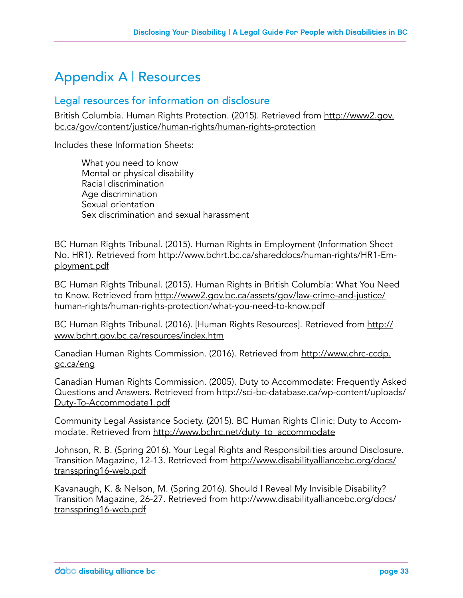### Appendix A | Resources

### Legal resources for information on disclosure

British Columbia. Human Rights Protection. (2015). Retrieved from http://www2.gov. bc.ca/gov/content/justice/human-rights/human-rights-protection

Includes these Information Sheets:

What you need to know Mental or physical disability Racial discrimination Age discrimination Sexual orientation Sex discrimination and sexual harassment

BC Human Rights Tribunal. (2015). Human Rights in Employment (Information Sheet No. HR1). Retrieved from http://www.bchrt.bc.ca/shareddocs/human-rights/HR1-Employment.pdf

BC Human Rights Tribunal. (2015). Human Rights in British Columbia: What You Need to Know. Retrieved from http://www2.gov.bc.ca/assets/gov/law-crime-and-justice/ human-rights/human-rights-protection/what-you-need-to-know.pdf

BC Human Rights Tribunal. (2016). [Human Rights Resources]. Retrieved from http:// www.bchrt.gov.bc.ca/resources/index.htm

Canadian Human Rights Commission. (2016). Retrieved from http://www.chrc-ccdp. gc.ca/eng

Canadian Human Rights Commission. (2005). Duty to Accommodate: Frequently Asked Questions and Answers. Retrieved from http://sci-bc-database.ca/wp-content/uploads/ Duty-To-Accommodate1.pdf

Community Legal Assistance Society. (2015). BC Human Rights Clinic: Duty to Accommodate. Retrieved from http://www.bchrc.net/duty\_to\_accommodate

Johnson, R. B. (Spring 2016). Your Legal Rights and Responsibilities around Disclosure. Transition Magazine, 12-13. Retrieved from http://www.disabilityalliancebc.org/docs/ transspring16-web.pdf

Kavanaugh, K. & Nelson, M. (Spring 2016). Should I Reveal My Invisible Disability? Transition Magazine, 26-27. Retrieved from http://www.disabilityalliancebc.org/docs/ transspring16-web.pdf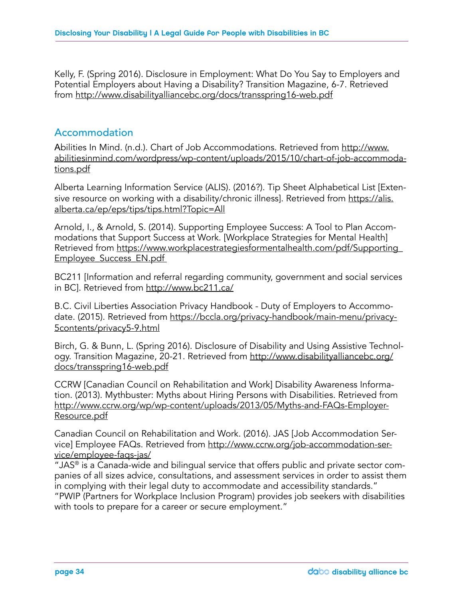Kelly, F. (Spring 2016). Disclosure in Employment: What Do You Say to Employers and Potential Employers about Having a Disability? Transition Magazine, 6-7. Retrieved from http://www.disabilityalliancebc.org/docs/transspring16-web.pdf

### Accommodation

Abilities In Mind. (n.d.). Chart of Job Accommodations. Retrieved from http://www. abilitiesinmind.com/wordpress/wp-content/uploads/2015/10/chart-of-job-accommodations.pdf

Alberta Learning Information Service (ALIS). (2016?). Tip Sheet Alphabetical List [Extensive resource on working with a disability/chronic illness]. Retrieved from https://alis. alberta.ca/ep/eps/tips/tips.html?Topic=All

Arnold, I., & Arnold, S. (2014). Supporting Employee Success: A Tool to Plan Accommodations that Support Success at Work. [Workplace Strategies for Mental Health] Retrieved from https://www.workplacestrategiesformentalhealth.com/pdf/Supporting\_ Employee\_Success\_EN.pdf

BC211 [Information and referral regarding community, government and social services in BC]. Retrieved from http://www.bc211.ca/

B.C. Civil Liberties Association Privacy Handbook - Duty of Employers to Accommodate. (2015). Retrieved from https://bccla.org/privacy-handbook/main-menu/privacy-5contents/privacy5-9.html

Birch, G. & Bunn, L. (Spring 2016). Disclosure of Disability and Using Assistive Technology. Transition Magazine, 20-21. Retrieved from http://www.disabilityalliancebc.org/ docs/transspring16-web.pdf

CCRW [Canadian Council on Rehabilitation and Work] Disability Awareness Information. (2013). Mythbuster: Myths about Hiring Persons with Disabilities. Retrieved from http://www.ccrw.org/wp/wp-content/uploads/2013/05/Myths-and-FAQs-Employer-Resource.pdf

Canadian Council on Rehabilitation and Work. (2016). JAS [Job Accommodation Service] Employee FAQs. Retrieved from http://www.ccrw.org/job-accommodation-service/employee-faqs-jas/

"JAS<sup>®</sup> is a Canada-wide and bilingual service that offers public and private sector companies of all sizes advice, consultations, and assessment services in order to assist them in complying with their legal duty to accommodate and accessibility standards." "PWIP (Partners for Workplace Inclusion Program) provides job seekers with disabilities with tools to prepare for a career or secure employment."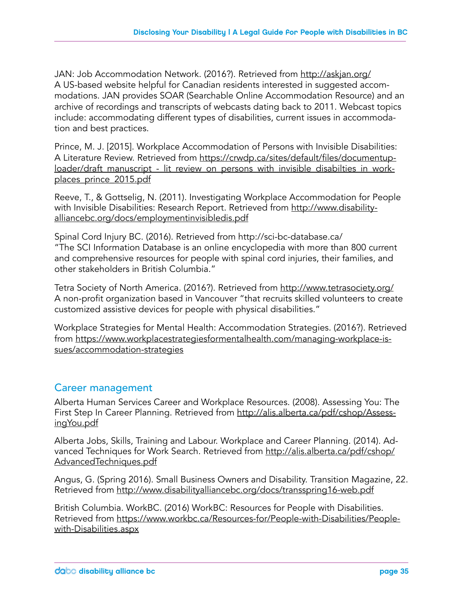JAN: Job Accommodation Network. (2016?). Retrieved from http://askjan.org/ A US-based website helpful for Canadian residents interested in suggested accommodations. JAN provides SOAR (Searchable Online Accommodation Resource) and an archive of recordings and transcripts of webcasts dating back to 2011. Webcast topics include: accommodating different types of disabilities, current issues in accommodation and best practices.

Prince, M. J. [2015]. Workplace Accommodation of Persons with Invisible Disabilities: A Literature Review. Retrieved from https://crwdp.ca/sites/default/files/documentuploader/draft\_manuscript\_-\_lit\_review\_on\_persons\_with\_invisible\_disabilties\_in\_workplaces\_prince\_2015.pdf

Reeve, T., & Gottselig, N. (2011). Investigating Workplace Accommodation for People with Invisible Disabilities: Research Report. Retrieved from http://www.disabilityalliancebc.org/docs/employmentinvisibledis.pdf

Spinal Cord Injury BC. (2016). Retrieved from http://sci-bc-database.ca/ "The SCI Information Database is an online encyclopedia with more than 800 current and comprehensive resources for people with spinal cord injuries, their families, and other stakeholders in British Columbia."

Tetra Society of North America. (2016?). Retrieved from http://www.tetrasociety.org/ A non-profit organization based in Vancouver "that recruits skilled volunteers to create customized assistive devices for people with physical disabilities."

Workplace Strategies for Mental Health: Accommodation Strategies. (2016?). Retrieved from https://www.workplacestrategiesformentalhealth.com/managing-workplace-issues/accommodation-strategies

### Career management

Alberta Human Services Career and Workplace Resources. (2008). Assessing You: The First Step In Career Planning. Retrieved from http://alis.alberta.ca/pdf/cshop/AssessingYou.pdf

Alberta Jobs, Skills, Training and Labour. Workplace and Career Planning. (2014). Advanced Techniques for Work Search. Retrieved from http://alis.alberta.ca/pdf/cshop/ AdvancedTechniques.pdf

Angus, G. (Spring 2016). Small Business Owners and Disability. Transition Magazine, 22. Retrieved from http://www.disabilityalliancebc.org/docs/transspring16-web.pdf

British Columbia. WorkBC. (2016) WorkBC: Resources for People with Disabilities. Retrieved from https://www.workbc.ca/Resources-for/People-with-Disabilities/Peoplewith-Disabilities.aspx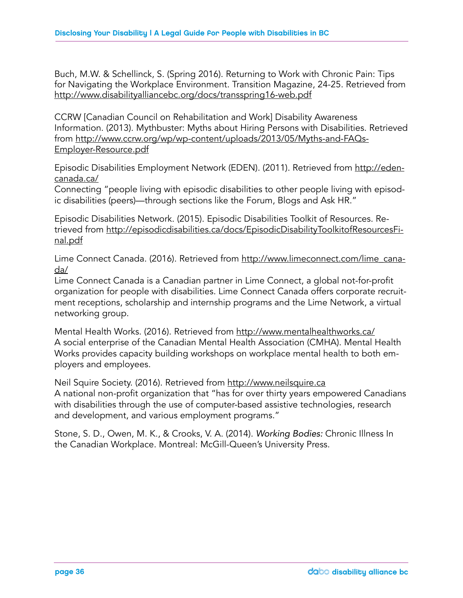Buch, M.W. & Schellinck, S. (Spring 2016). Returning to Work with Chronic Pain: Tips for Navigating the Workplace Environment. Transition Magazine, 24-25. Retrieved from http://www.disabilityalliancebc.org/docs/transspring16-web.pdf

CCRW [Canadian Council on Rehabilitation and Work] Disability Awareness Information. (2013). Mythbuster: Myths about Hiring Persons with Disabilities. Retrieved from http://www.ccrw.org/wp/wp-content/uploads/2013/05/Myths-and-FAQs-Employer-Resource.pdf

Episodic Disabilities Employment Network (EDEN). (2011). Retrieved from http://edencanada.ca/

Connecting "people living with episodic disabilities to other people living with episodic disabilities (peers)—through sections like the Forum, Blogs and Ask HR."

Episodic Disabilities Network. (2015). Episodic Disabilities Toolkit of Resources. Retrieved from http://episodicdisabilities.ca/docs/EpisodicDisabilityToolkitofResourcesFinal.pdf

Lime Connect Canada. (2016). Retrieved from http://www.limeconnect.com/lime\_canada/

Lime Connect Canada is a Canadian partner in Lime Connect, a global not-for-profit organization for people with disabilities. Lime Connect Canada offers corporate recruitment receptions, scholarship and internship programs and the Lime Network, a virtual networking group.

Mental Health Works. (2016). Retrieved from http://www.mentalhealthworks.ca/ A social enterprise of the Canadian Mental Health Association (CMHA). Mental Health Works provides capacity building workshops on workplace mental health to both employers and employees.

Neil Squire Society. (2016). Retrieved from http://www.neilsquire.ca A national non-profit organization that "has for over thirty years empowered Canadians with disabilities through the use of computer-based assistive technologies, research and development, and various employment programs."

Stone, S. D., Owen, M. K., & Crooks, V. A. (2014). *Working Bodies:* Chronic Illness In the Canadian Workplace. Montreal: McGill-Queen's University Press.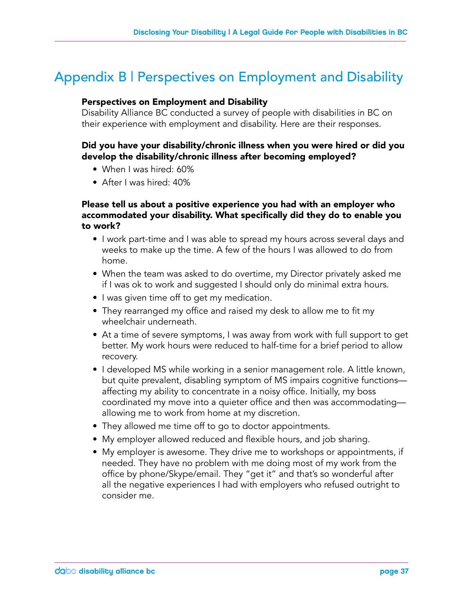### Appendix B | Perspectives on Employment and Disability

#### Perspectives on Employment and Disability

Disability Alliance BC conducted a survey of people with disabilities in BC on their experience with employment and disability. Here are their responses.

#### Did you have your disability/chronic illness when you were hired or did you develop the disability/chronic illness after becoming employed?

- When I was hired: 60%
- After I was hired: 40%

### Please tell us about a positive experience you had with an employer who accommodated your disability. What specifically did they do to enable you to work?

- I work part-time and I was able to spread my hours across several days and weeks to make up the time. A few of the hours I was allowed to do from home.
- When the team was asked to do overtime, my Director privately asked me if I was ok to work and suggested I should only do minimal extra hours.
- I was given time off to get my medication.
- They rearranged my office and raised my desk to allow me to fit my wheelchair underneath.
- At a time of severe symptoms, I was away from work with full support to get better. My work hours were reduced to half-time for a brief period to allow recovery.
- I developed MS while working in a senior management role. A little known, but quite prevalent, disabling symptom of MS impairs cognitive functions affecting my ability to concentrate in a noisy office. Initially, my boss coordinated my move into a quieter office and then was accommodating allowing me to work from home at my discretion.
- They allowed me time off to go to doctor appointments.
- My employer allowed reduced and flexible hours, and job sharing.
- My employer is awesome. They drive me to workshops or appointments, if needed. They have no problem with me doing most of my work from the office by phone/Skype/email. They "get it" and that's so wonderful after all the negative experiences I had with employers who refused outright to consider me.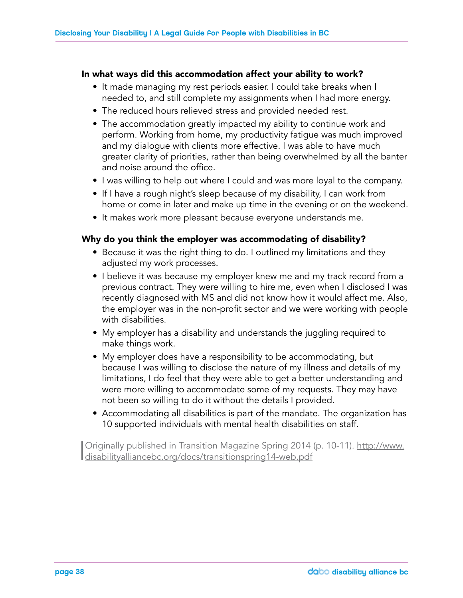#### In what ways did this accommodation affect your ability to work?

- It made managing my rest periods easier. I could take breaks when I needed to, and still complete my assignments when I had more energy.
- The reduced hours relieved stress and provided needed rest.
- The accommodation greatly impacted my ability to continue work and perform. Working from home, my productivity fatigue was much improved and my dialogue with clients more effective. I was able to have much greater clarity of priorities, rather than being overwhelmed by all the banter and noise around the office.
- I was willing to help out where I could and was more loyal to the company.
- If I have a rough night's sleep because of my disability, I can work from home or come in later and make up time in the evening or on the weekend.
- It makes work more pleasant because everyone understands me.

### Why do you think the employer was accommodating of disability?

- Because it was the right thing to do. I outlined my limitations and they adjusted my work processes.
- I believe it was because my employer knew me and my track record from a previous contract. They were willing to hire me, even when I disclosed I was recently diagnosed with MS and did not know how it would affect me. Also, the employer was in the non-profit sector and we were working with people with disabilities.
- My employer has a disability and understands the juggling required to make things work.
- My employer does have a responsibility to be accommodating, but because I was willing to disclose the nature of my illness and details of my limitations, I do feel that they were able to get a better understanding and were more willing to accommodate some of my requests. They may have not been so willing to do it without the details I provided.
- Accommodating all disabilities is part of the mandate. The organization has 10 supported individuals with mental health disabilities on staff.

| Originally published in Transition Magazine Spring 2014 (p. 10-11). http://www. disabilityalliancebc.org/docs/transitionspring14-web.pdf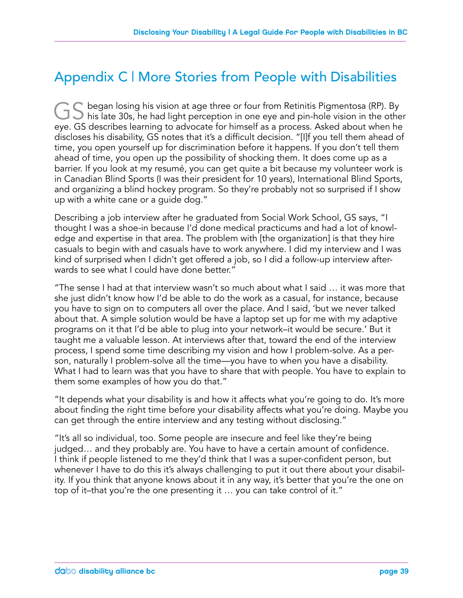### Appendix C | More Stories from People with Disabilities

 $\tilde{\phantom{a}}$  began losing his vision at age three or four from Retinitis Pigmentosa (RP). By  $\Box$  his late 30s, he had light perception in one eye and pin-hole vision in the other eye. GS describes learning to advocate for himself as a process. Asked about when he discloses his disability, GS notes that it's a difficult decision. "[I]f you tell them ahead of time, you open yourself up for discrimination before it happens. If you don't tell them ahead of time, you open up the possibility of shocking them. It does come up as a barrier. If you look at my resumé, you can get quite a bit because my volunteer work is in Canadian Blind Sports (I was their president for 10 years), International Blind Sports, and organizing a blind hockey program. So they're probably not so surprised if I show up with a white cane or a guide dog."

Describing a job interview after he graduated from Social Work School, GS says, "I thought I was a shoe-in because I'd done medical practicums and had a lot of knowledge and expertise in that area. The problem with [the organization] is that they hire casuals to begin with and casuals have to work anywhere. I did my interview and I was kind of surprised when I didn't get offered a job, so I did a follow-up interview afterwards to see what I could have done better."

"The sense I had at that interview wasn't so much about what I said … it was more that she just didn't know how I'd be able to do the work as a casual, for instance, because you have to sign on to computers all over the place. And I said, 'but we never talked about that. A simple solution would be have a laptop set up for me with my adaptive programs on it that I'd be able to plug into your network–it would be secure.' But it taught me a valuable lesson. At interviews after that, toward the end of the interview process, I spend some time describing my vision and how I problem-solve. As a person, naturally I problem-solve all the time—you have to when you have a disability. What I had to learn was that you have to share that with people. You have to explain to them some examples of how you do that."

"It depends what your disability is and how it affects what you're going to do. It's more about finding the right time before your disability affects what you're doing. Maybe you can get through the entire interview and any testing without disclosing."

"It's all so individual, too. Some people are insecure and feel like they're being judged… and they probably are. You have to have a certain amount of confidence. I think if people listened to me they'd think that I was a super-confident person, but whenever I have to do this it's always challenging to put it out there about your disability. If you think that anyone knows about it in any way, it's better that you're the one on top of it–that you're the one presenting it … you can take control of it."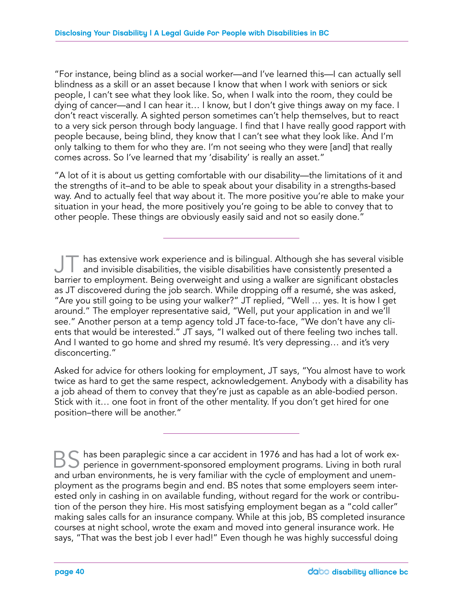"For instance, being blind as a social worker—and I've learned this—I can actually sell blindness as a skill or an asset because I know that when I work with seniors or sick people, I can't see what they look like. So, when I walk into the room, they could be dying of cancer—and I can hear it… I know, but I don't give things away on my face. I don't react viscerally. A sighted person sometimes can't help themselves, but to react to a very sick person through body language. I find that I have really good rapport with people because, being blind, they know that I can't see what they look like. And I'm only talking to them for who they are. I'm not seeing who they were [and] that really comes across. So I've learned that my 'disability' is really an asset."

"A lot of it is about us getting comfortable with our disability—the limitations of it and the strengths of it–and to be able to speak about your disability in a strengths-based way. And to actually feel that way about it. The more positive you're able to make your situation in your head, the more positively you're going to be able to convey that to other people. These things are obviously easily said and not so easily done."

has extensive work experience and is bilingual. Although she has several visible and invisible disabilities, the visible disabilities have consistently presented a barrier to employment. Being overweight and using a walker are significant obstacles as JT discovered during the job search. While dropping off a resumé, she was asked, "Are you still going to be using your walker?" JT replied, "Well … yes. It is how I get around." The employer representative said, "Well, put your application in and we'll see." Another person at a temp agency told JT face-to-face, "We don't have any clients that would be interested." JT says, "I walked out of there feeling two inches tall. And I wanted to go home and shred my resumé. It's very depressing… and it's very disconcerting."

Asked for advice for others looking for employment, JT says, "You almost have to work twice as hard to get the same respect, acknowledgement. Anybody with a disability has a job ahead of them to convey that they're just as capable as an able-bodied person. Stick with it… one foot in front of the other mentality. If you don't get hired for one position–there will be another."

 $^{\circ}$  has been paraplegic since a car accident in 1976 and has had a lot of work experience in government-sponsored employment programs. Living in both rural and urban environments, he is very familiar with the cycle of employment and unemployment as the programs begin and end. BS notes that some employers seem interested only in cashing in on available funding, without regard for the work or contribution of the person they hire. His most satisfying employment began as a "cold caller" making sales calls for an insurance company. While at this job, BS completed insurance courses at night school, wrote the exam and moved into general insurance work. He says, "That was the best job I ever had!" Even though he was highly successful doing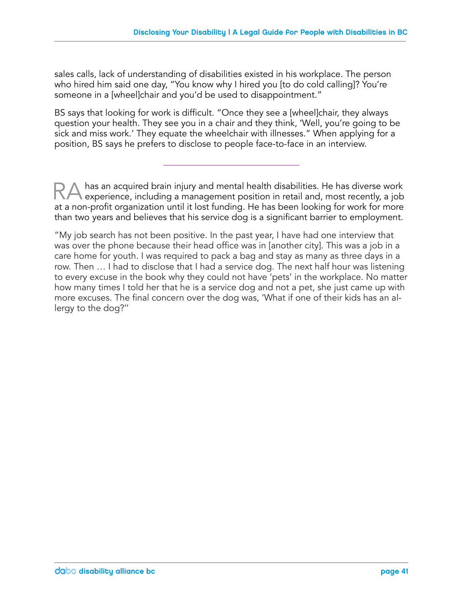sales calls, lack of understanding of disabilities existed in his workplace. The person who hired him said one day, "You know why I hired you [to do cold calling]? You're someone in a [wheel]chair and you'd be used to disappointment."

BS says that looking for work is difficult. "Once they see a [wheel]chair, they always question your health. They see you in a chair and they think, 'Well, you're going to be sick and miss work.' They equate the wheelchair with illnesses." When applying for a position, BS says he prefers to disclose to people face-to-face in an interview.

has an acquired brain injury and mental health disabilities. He has diverse work experience, including a management position in retail and, most recently, a job at a non-profit organization until it lost funding. He has been looking for work for more than two years and believes that his service dog is a significant barrier to employment.

"My job search has not been positive. In the past year, I have had one interview that was over the phone because their head office was in [another city]. This was a job in a care home for youth. I was required to pack a bag and stay as many as three days in a row. Then … I had to disclose that I had a service dog. The next half hour was listening to every excuse in the book why they could not have 'pets' in the workplace. No matter how many times I told her that he is a service dog and not a pet, she just came up with more excuses. The final concern over the dog was, 'What if one of their kids has an allergy to the dog?''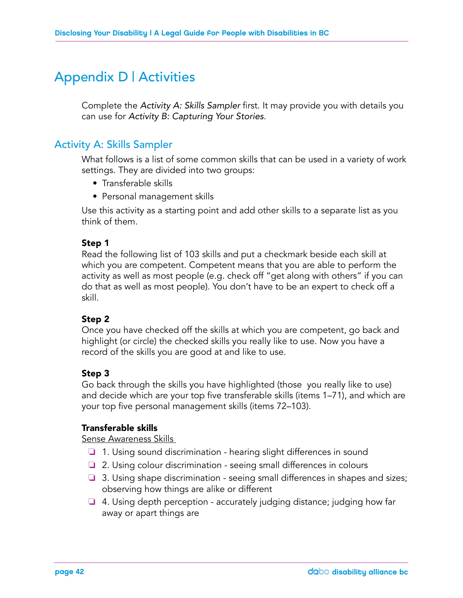### Appendix D | Activities

Complete the *Activity A: Skills Sampler* first. It may provide you with details you can use for *Activity B: Capturing Your Stories*.

### Activity A: Skills Sampler

What follows is a list of some common skills that can be used in a variety of work settings. They are divided into two groups:

- Transferable skills
- Personal management skills

Use this activity as a starting point and add other skills to a separate list as you think of them.

### Step 1

Read the following list of 103 skills and put a checkmark beside each skill at which you are competent. Competent means that you are able to perform the activity as well as most people (e.g. check off "get along with others" if you can do that as well as most people). You don't have to be an expert to check off a skill.

### Step 2

Once you have checked off the skills at which you are competent, go back and highlight (or circle) the checked skills you really like to use. Now you have a record of the skills you are good at and like to use.

### Step 3

Go back through the skills you have highlighted (those you really like to use) and decide which are your top five transferable skills (items 1–71), and which are your top five personal management skills (items 72–103).

### Transferable skills

Sense Awareness Skills

- ❏ 1. Using sound discrimination hearing slight differences in sound
- ❏ 2. Using colour discrimination seeing small differences in colours
- ❏ 3. Using shape discrimination seeing small differences in shapes and sizes; observing how things are alike or different
- ❏ 4. Using depth perception accurately judging distance; judging how far away or apart things are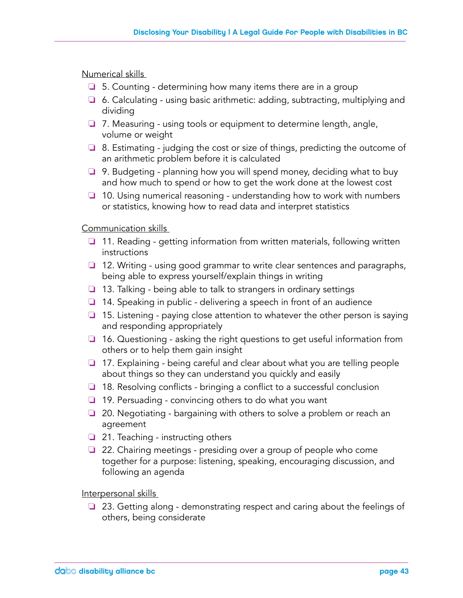Numerical skills

- ❏ 5. Counting determining how many items there are in a group
- ❏ 6. Calculating using basic arithmetic: adding, subtracting, multiplying and dividing
- ❏ 7. Measuring using tools or equipment to determine length, angle, volume or weight
- ❏ 8. Estimating judging the cost or size of things, predicting the outcome of an arithmetic problem before it is calculated
- ❏ 9. Budgeting planning how you will spend money, deciding what to buy and how much to spend or how to get the work done at the lowest cost
- ❏ 10. Using numerical reasoning understanding how to work with numbers or statistics, knowing how to read data and interpret statistics

Communication skills

- ❏ 11. Reading getting information from written materials, following written instructions
- ❏ 12. Writing using good grammar to write clear sentences and paragraphs, being able to express yourself/explain things in writing
- ❏ 13. Talking being able to talk to strangers in ordinary settings
- ❏ 14. Speaking in public delivering a speech in front of an audience
- ❏ 15. Listening paying close attention to whatever the other person is saying and responding appropriately
- ❏ 16. Questioning asking the right questions to get useful information from others or to help them gain insight
- ❏ 17. Explaining being careful and clear about what you are telling people about things so they can understand you quickly and easily
- ❏ 18. Resolving conflicts bringing a conflict to a successful conclusion
- ❏ 19. Persuading convincing others to do what you want
- ❏ 20. Negotiating bargaining with others to solve a problem or reach an agreement
- ❏ 21. Teaching instructing others
- ❏ 22. Chairing meetings presiding over a group of people who come together for a purpose: listening, speaking, encouraging discussion, and following an agenda

Interpersonal skills

❏ 23. Getting along - demonstrating respect and caring about the feelings of others, being considerate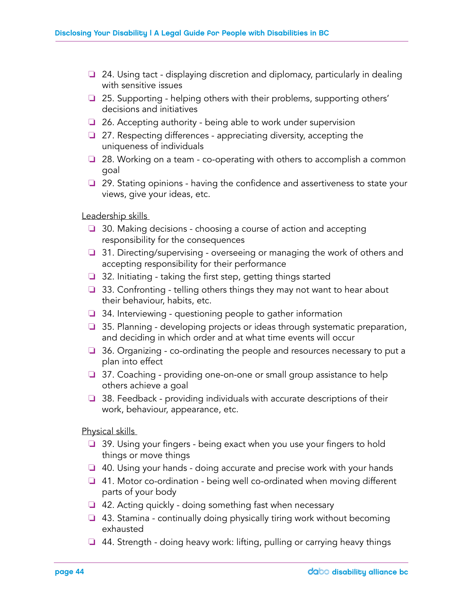- ❏ 24. Using tact displaying discretion and diplomacy, particularly in dealing with sensitive issues
- ❏ 25. Supporting helping others with their problems, supporting others' decisions and initiatives
- ❏ 26. Accepting authority being able to work under supervision
- ❏ 27. Respecting differences appreciating diversity, accepting the uniqueness of individuals
- ❏ 28. Working on a team co-operating with others to accomplish a common goal
- ❏ 29. Stating opinions having the confidence and assertiveness to state your views, give your ideas, etc.

Leadership skills

- ❏ 30. Making decisions choosing a course of action and accepting responsibility for the consequences
- ❏ 31. Directing/supervising overseeing or managing the work of others and accepting responsibility for their performance
- ❏ 32. Initiating taking the first step, getting things started
- ❏ 33. Confronting telling others things they may not want to hear about their behaviour, habits, etc.
- ❏ 34. Interviewing questioning people to gather information
- ❏ 35. Planning developing projects or ideas through systematic preparation, and deciding in which order and at what time events will occur
- ❏ 36. Organizing co-ordinating the people and resources necessary to put a plan into effect
- ❏ 37. Coaching providing one-on-one or small group assistance to help others achieve a goal
- ❏ 38. Feedback providing individuals with accurate descriptions of their work, behaviour, appearance, etc.

Physical skills

- ❏ 39. Using your fingers being exact when you use your fingers to hold things or move things
- ❏ 40. Using your hands doing accurate and precise work with your hands
- ❏ 41. Motor co-ordination being well co-ordinated when moving different parts of your body
- ❏ 42. Acting quickly doing something fast when necessary
- ❏ 43. Stamina continually doing physically tiring work without becoming exhausted
- ❏ 44. Strength doing heavy work: lifting, pulling or carrying heavy things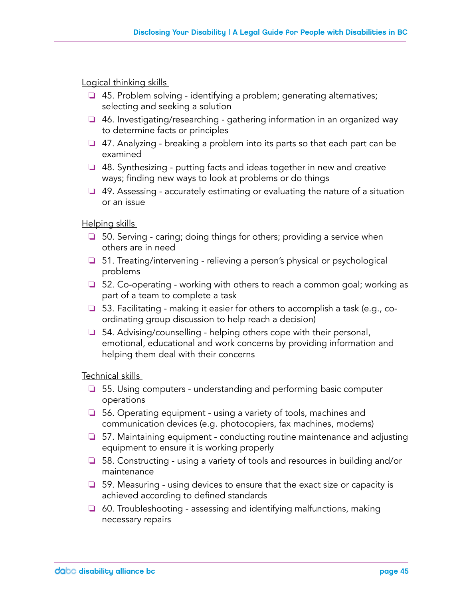Logical thinking skills

- ❏ 45. Problem solving identifying a problem; generating alternatives; selecting and seeking a solution
- ❏ 46. Investigating/researching gathering information in an organized way to determine facts or principles
- ❏ 47. Analyzing breaking a problem into its parts so that each part can be examined
- ❏ 48. Synthesizing putting facts and ideas together in new and creative ways; finding new ways to look at problems or do things
- ❏ 49. Assessing accurately estimating or evaluating the nature of a situation or an issue

Helping skills

- ❏ 50. Serving caring; doing things for others; providing a service when others are in need
- ❏ 51. Treating/intervening relieving a person's physical or psychological problems
- ❏ 52. Co-operating working with others to reach a common goal; working as part of a team to complete a task
- ❏ 53. Facilitating making it easier for others to accomplish a task (e.g., coordinating group discussion to help reach a decision)
- ❏ 54. Advising/counselling helping others cope with their personal, emotional, educational and work concerns by providing information and helping them deal with their concerns

Technical skills

- ❏ 55. Using computers understanding and performing basic computer operations
- ❏ 56. Operating equipment using a variety of tools, machines and communication devices (e.g. photocopiers, fax machines, modems)
- ❏ 57. Maintaining equipment conducting routine maintenance and adjusting equipment to ensure it is working properly
- ❏ 58. Constructing using a variety of tools and resources in building and/or maintenance
- ❏ 59. Measuring using devices to ensure that the exact size or capacity is achieved according to defined standards
- ❏ 60. Troubleshooting assessing and identifying malfunctions, making necessary repairs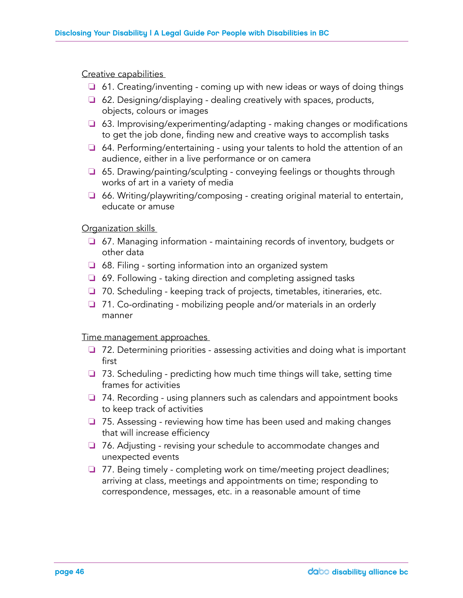#### Creative capabilities

- ❏ 61. Creating/inventing coming up with new ideas or ways of doing things
- ❏ 62. Designing/displaying dealing creatively with spaces, products, objects, colours or images
- ❏ 63. Improvising/experimenting/adapting making changes or modifications to get the job done, finding new and creative ways to accomplish tasks
- ❏ 64. Performing/entertaining using your talents to hold the attention of an audience, either in a live performance or on camera
- ❏ 65. Drawing/painting/sculpting conveying feelings or thoughts through works of art in a variety of media
- ❏ 66. Writing/playwriting/composing creating original material to entertain, educate or amuse

#### Organization skills

- ❏ 67. Managing information maintaining records of inventory, budgets or other data
- ❏ 68. Filing sorting information into an organized system
- ❏ 69. Following taking direction and completing assigned tasks
- ❏ 70. Scheduling keeping track of projects, timetables, itineraries, etc.
- ❏ 71. Co-ordinating mobilizing people and/or materials in an orderly manner

#### Time management approaches

- ❏ 72. Determining priorities assessing activities and doing what is important first
- ❏ 73. Scheduling predicting how much time things will take, setting time frames for activities
- ❏ 74. Recording using planners such as calendars and appointment books to keep track of activities
- ❏ 75. Assessing reviewing how time has been used and making changes that will increase efficiency
- ❏ 76. Adjusting revising your schedule to accommodate changes and unexpected events
- ❏ 77. Being timely completing work on time/meeting project deadlines; arriving at class, meetings and appointments on time; responding to correspondence, messages, etc. in a reasonable amount of time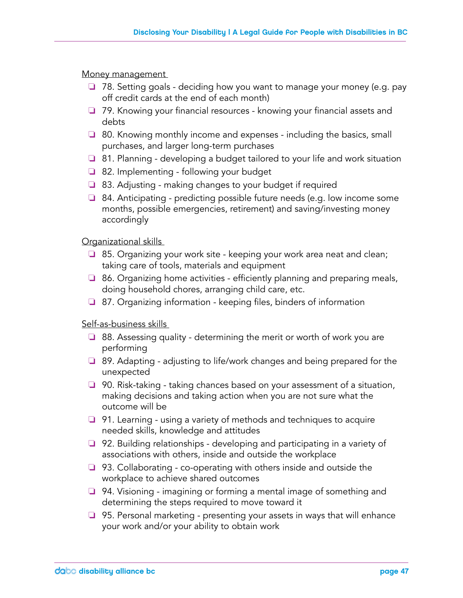Money management

- ❏ 78. Setting goals deciding how you want to manage your money (e.g. pay off credit cards at the end of each month)
- ❏ 79. Knowing your financial resources knowing your financial assets and debts
- ❏ 80. Knowing monthly income and expenses including the basics, small purchases, and larger long-term purchases
- ❏ 81. Planning developing a budget tailored to your life and work situation
- ❏ 82. Implementing following your budget
- ❏ 83. Adjusting making changes to your budget if required
- ❏ 84. Anticipating predicting possible future needs (e.g. low income some months, possible emergencies, retirement) and saving/investing money accordingly

### Organizational skills

- ❏ 85. Organizing your work site keeping your work area neat and clean; taking care of tools, materials and equipment
- ❏ 86. Organizing home activities efficiently planning and preparing meals, doing household chores, arranging child care, etc.
- ❏ 87. Organizing information keeping files, binders of information

Self-as-business skills

- ❏ 88. Assessing quality determining the merit or worth of work you are performing
- ❏ 89. Adapting adjusting to life/work changes and being prepared for the unexpected
- ❏ 90. Risk-taking taking chances based on your assessment of a situation, making decisions and taking action when you are not sure what the outcome will be
- ❏ 91. Learning using a variety of methods and techniques to acquire needed skills, knowledge and attitudes
- ❏ 92. Building relationships developing and participating in a variety of associations with others, inside and outside the workplace
- ❏ 93. Collaborating co-operating with others inside and outside the workplace to achieve shared outcomes
- ❏ 94. Visioning imagining or forming a mental image of something and determining the steps required to move toward it
- ❏ 95. Personal marketing presenting your assets in ways that will enhance your work and/or your ability to obtain work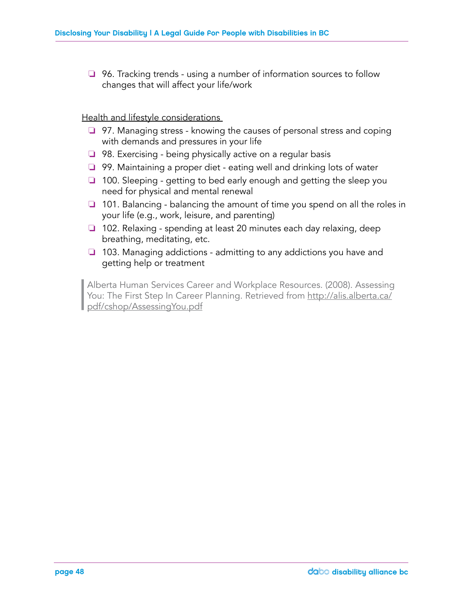❏ 96. Tracking trends - using a number of information sources to follow changes that will affect your life/work

Health and lifestyle considerations

- ❏ 97. Managing stress knowing the causes of personal stress and coping with demands and pressures in your life
- ❏ 98. Exercising being physically active on a regular basis
- ❏ 99. Maintaining a proper diet eating well and drinking lots of water
- ❏ 100. Sleeping getting to bed early enough and getting the sleep you need for physical and mental renewal
- ❏ 101. Balancing balancing the amount of time you spend on all the roles in your life (e.g., work, leisure, and parenting)
- ❏ 102. Relaxing spending at least 20 minutes each day relaxing, deep breathing, meditating, etc.
- ❏ 103. Managing addictions admitting to any addictions you have and getting help or treatment

| Alberta Human Services Career and Workplace Resources. (2008). Assessing<br>You: The First Step In Career Planning. Retrieved from http://alis.alberta.ca/<br>pdf/cshop/AssessingYou.pdf You: The First Step In Career Planning. Retrieved from <u>http://alis.alberta.ca/</u> pdf/cshop/AssessingYou.pdf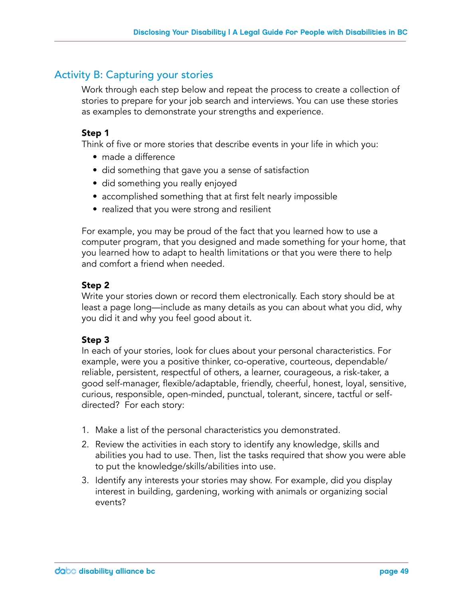### Activity B: Capturing your stories

Work through each step below and repeat the process to create a collection of stories to prepare for your job search and interviews. You can use these stories as examples to demonstrate your strengths and experience.

### Step 1

Think of five or more stories that describe events in your life in which you:

- made a difference
- did something that gave you a sense of satisfaction
- did something you really enjoyed
- accomplished something that at first felt nearly impossible
- realized that you were strong and resilient

For example, you may be proud of the fact that you learned how to use a computer program, that you designed and made something for your home, that you learned how to adapt to health limitations or that you were there to help and comfort a friend when needed.

### Step 2

Write your stories down or record them electronically. Each story should be at least a page long—include as many details as you can about what you did, why you did it and why you feel good about it.

### Step 3

In each of your stories, look for clues about your personal characteristics. For example, were you a positive thinker, co-operative, courteous, dependable/ reliable, persistent, respectful of others, a learner, courageous, a risk-taker, a good self-manager, flexible/adaptable, friendly, cheerful, honest, loyal, sensitive, curious, responsible, open-minded, punctual, tolerant, sincere, tactful or selfdirected? For each story:

- 1. Make a list of the personal characteristics you demonstrated.
- 2. Review the activities in each story to identify any knowledge, skills and abilities you had to use. Then, list the tasks required that show you were able to put the knowledge/skills/abilities into use.
- 3. Identify any interests your stories may show. For example, did you display interest in building, gardening, working with animals or organizing social events?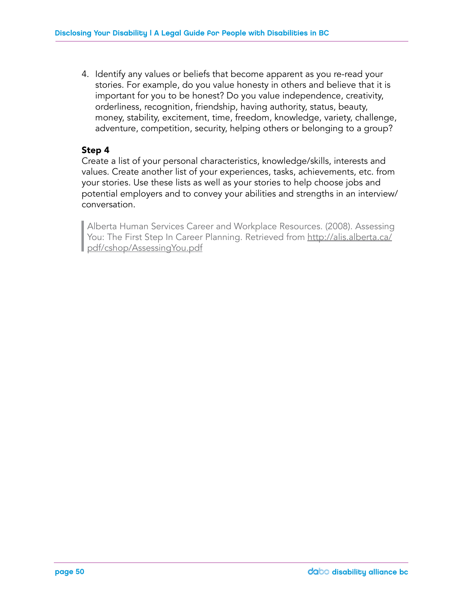4. Identify any values or beliefs that become apparent as you re-read your stories. For example, do you value honesty in others and believe that it is important for you to be honest? Do you value independence, creativity, orderliness, recognition, friendship, having authority, status, beauty, money, stability, excitement, time, freedom, knowledge, variety, challenge, adventure, competition, security, helping others or belonging to a group?

### Step 4

Create a list of your personal characteristics, knowledge/skills, interests and values. Create another list of your experiences, tasks, achievements, etc. from your stories. Use these lists as well as your stories to help choose jobs and potential employers and to convey your abilities and strengths in an interview/ conversation.

Alberta Human Services Career and Workplace Resources. (2008). Assessing<br>You: The First Step In Career Planning. Retrieved from http://alis.alberta.ca/<br>pdf/cshop/AssessingYou.pdf You: The First Step In Career Planning. Retrieved from <u>http://alis.alberta.ca/</u> pdf/cshop/AssessingYou.pdf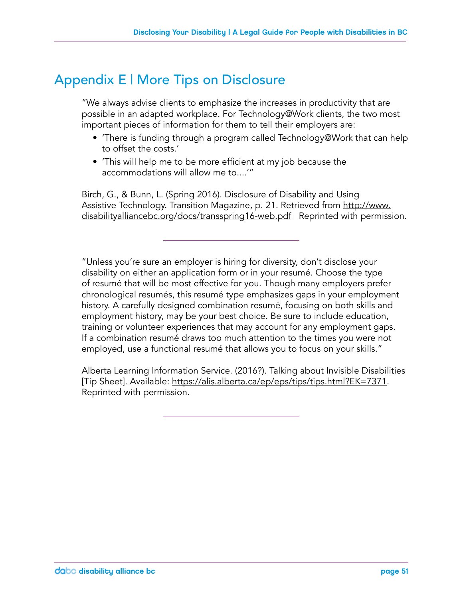### Appendix E | More Tips on Disclosure

"We always advise clients to emphasize the increases in productivity that are possible in an adapted workplace. For Technology@Work clients, the two most important pieces of information for them to tell their employers are:

- 'There is funding through a program called Technology@Work that can help to offset the costs.'
- 'This will help me to be more efficient at my job because the accommodations will allow me to....'"

Birch, G., & Bunn, L. (Spring 2016). Disclosure of Disability and Using Assistive Technology. Transition Magazine, p. 21. Retrieved from http://www. disabilityalliancebc.org/docs/transspring16-web.pdf Reprinted with permission.

"Unless you're sure an employer is hiring for diversity, don't disclose your disability on either an application form or in your resumé. Choose the type of resumé that will be most effective for you. Though many employers prefer chronological resumés, this resumé type emphasizes gaps in your employment history. A carefully designed combination resumé, focusing on both skills and employment history, may be your best choice. Be sure to include education, training or volunteer experiences that may account for any employment gaps. If a combination resumé draws too much attention to the times you were not employed, use a functional resumé that allows you to focus on your skills."

Alberta Learning Information Service. (2016?). Talking about Invisible Disabilities [Tip Sheet]. Available: https://alis.alberta.ca/ep/eps/tips/tips.html?EK=7371. Reprinted with permission.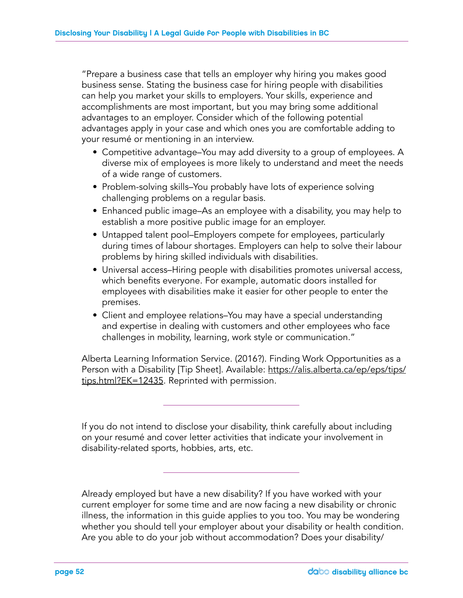"Prepare a business case that tells an employer why hiring you makes good business sense. Stating the business case for hiring people with disabilities can help you market your skills to employers. Your skills, experience and accomplishments are most important, but you may bring some additional advantages to an employer. Consider which of the following potential advantages apply in your case and which ones you are comfortable adding to your resumé or mentioning in an interview.

- Competitive advantage–You may add diversity to a group of employees. A diverse mix of employees is more likely to understand and meet the needs of a wide range of customers.
- Problem-solving skills–You probably have lots of experience solving challenging problems on a regular basis.
- Enhanced public image–As an employee with a disability, you may help to establish a more positive public image for an employer.
- Untapped talent pool–Employers compete for employees, particularly during times of labour shortages. Employers can help to solve their labour problems by hiring skilled individuals with disabilities.
- Universal access–Hiring people with disabilities promotes universal access, which benefits everyone. For example, automatic doors installed for employees with disabilities make it easier for other people to enter the premises.
- Client and employee relations–You may have a special understanding and expertise in dealing with customers and other employees who face challenges in mobility, learning, work style or communication."

Alberta Learning Information Service. (2016?). Finding Work Opportunities as a Person with a Disability [Tip Sheet]. Available: https://alis.alberta.ca/ep/eps/tips/ tips.html?EK=12435. Reprinted with permission.

If you do not intend to disclose your disability, think carefully about including on your resumé and cover letter activities that indicate your involvement in disability-related sports, hobbies, arts, etc.

Already employed but have a new disability? If you have worked with your current employer for some time and are now facing a new disability or chronic illness, the information in this guide applies to you too. You may be wondering whether you should tell your employer about your disability or health condition. Are you able to do your job without accommodation? Does your disability/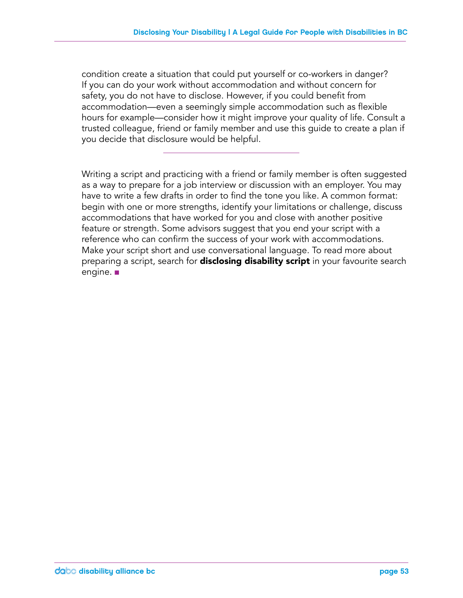condition create a situation that could put yourself or co-workers in danger? If you can do your work without accommodation and without concern for safety, you do not have to disclose. However, if you could benefit from accommodation—even a seemingly simple accommodation such as flexible hours for example—consider how it might improve your quality of life. Consult a trusted colleague, friend or family member and use this guide to create a plan if you decide that disclosure would be helpful.

Writing a script and practicing with a friend or family member is often suggested as a way to prepare for a job interview or discussion with an employer. You may have to write a few drafts in order to find the tone you like. A common format: begin with one or more strengths, identify your limitations or challenge, discuss accommodations that have worked for you and close with another positive feature or strength. Some advisors suggest that you end your script with a reference who can confirm the success of your work with accommodations. Make your script short and use conversational language. To read more about preparing a script, search for **disclosing disability script** in your favourite search engine.  $\blacksquare$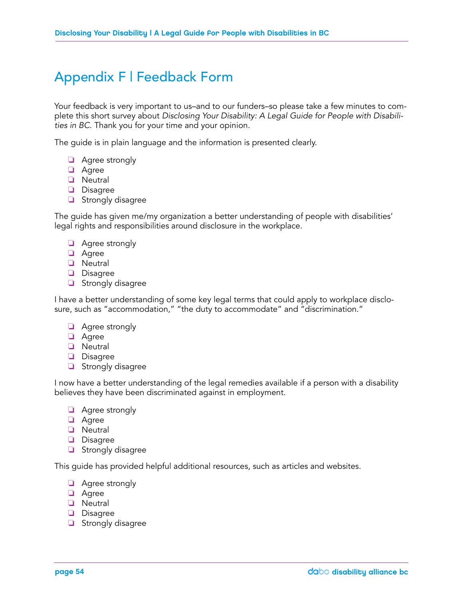### Appendix F | Feedback Form

Your feedback is very important to us–and to our funders–so please take a few minutes to complete this short survey about *Disclosing Your Disability: A Legal Guide for People with Disabilities in BC*. Thank you for your time and your opinion.

The guide is in plain language and the information is presented clearly.

- ❏ Agree strongly
- ❏ Agree
- ❏ Neutral
- ❏ Disagree
- ❏ Strongly disagree

The guide has given me/my organization a better understanding of people with disabilities' legal rights and responsibilities around disclosure in the workplace.

- ❏ Agree strongly
- ❏ Agree
- ❏ Neutral
- ❏ Disagree
- ❏ Strongly disagree

I have a better understanding of some key legal terms that could apply to workplace disclosure, such as "accommodation," "the duty to accommodate" and "discrimination."

- ❏ Agree strongly
- ❏ Agree
- ❏ Neutral
- ❏ Disagree
- ❏ Strongly disagree

I now have a better understanding of the legal remedies available if a person with a disability believes they have been discriminated against in employment.

- ❏ Agree strongly
- ❏ Agree
- ❏ Neutral
- ❏ Disagree
- ❏ Strongly disagree

This guide has provided helpful additional resources, such as articles and websites.

- ❏ Agree strongly
- ❏ Agree
- ❏ Neutral
- ❏ Disagree
- ❏ Strongly disagree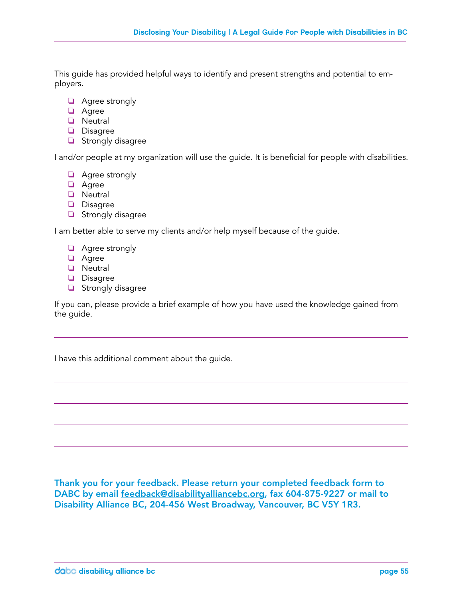This guide has provided helpful ways to identify and present strengths and potential to employers.

- ❏ Agree strongly
- ❏ Agree
- ❏ Neutral
- ❏ Disagree
- ❏ Strongly disagree

I and/or people at my organization will use the guide. It is beneficial for people with disabilities.

- ❏ Agree strongly
- ❏ Agree
- ❏ Neutral
- ❏ Disagree
- ❏ Strongly disagree

I am better able to serve my clients and/or help myself because of the guide.

- ❏ Agree strongly
- ❏ Agree
- ❏ Neutral
- ❏ Disagree
- ❏ Strongly disagree

If you can, please provide a brief example of how you have used the knowledge gained from the guide.

I have this additional comment about the guide.

Thank you for your feedback. Please return your completed feedback form to DABC by email feedback@disabilityalliancebc.org, fax 604-875-9227 or mail to Disability Alliance BC, 204-456 West Broadway, Vancouver, BC V5Y 1R3.